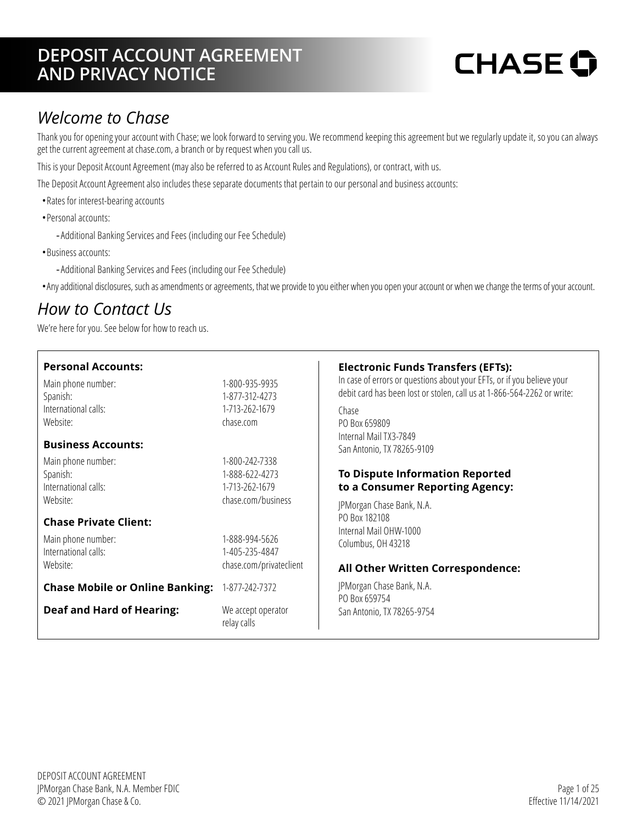### **DEPOSIT ACCOUNT AGREEMENT AND PRIVACY NOTICE**

# **CHASE O**

### *Welcome to Chase*

Thank you for opening your account with Chase; we look forward to serving you. We recommend keeping this agreement but we regularly update it, so you can always get the current agreement at [chase.com](https://www.chase.com), a branch or by request when you call us.

This is your Deposit Account Agreement (may also be referred to as Account Rules and Regulations), or contract, with us.

The Deposit Account Agreement also includes these separate documents that pertain to our personal and business accounts:

- •Rates for interest-bearing accounts
- •Personal accounts:
	- -Additional Banking Services and Fees (including our Fee Schedule)
- •Business accounts:
	- -Additional Banking Services and Fees (including our Fee Schedule)
- •Any additional disclosures, such as amendments or agreements, that we provide to you either when you open your account or when we change the terms of your account.

### <span id="page-0-0"></span>*How to Contact Us*

We're here for you. See below for how to reach us.

| <b>Personal Accounts:</b><br>Main phone number:<br>Spanish:<br>International calls:<br>Website:<br><b>Business Accounts:</b><br>Main phone number: | 1-800-935-9935<br>1-877-312-4273<br>1-713-262-1679<br>chase.com<br>1-800-242-7338 | <b>Electronic Funds Transfers (EFTs):</b><br>In case of errors or questions about your EFTs, or if you believe your<br>debit card has been lost or stolen, call us at 1-866-564-2262 or write:<br>Chase<br>PO Box 659809<br>Internal Mail TX3-7849<br>San Antonio, TX 78265-9109 |
|----------------------------------------------------------------------------------------------------------------------------------------------------|-----------------------------------------------------------------------------------|----------------------------------------------------------------------------------------------------------------------------------------------------------------------------------------------------------------------------------------------------------------------------------|
| Spanish:<br>International calls:<br>Website:                                                                                                       | 1-888-622-4273<br>1-713-262-1679<br>chase.com/business                            | <b>To Dispute Information Reported</b><br>to a Consumer Reporting Agency:<br>JPMorgan Chase Bank, N.A.                                                                                                                                                                           |
| <b>Chase Private Client:</b><br>Main phone number:<br>International calls:<br>Website:                                                             | 1-888-994-5626<br>1-405-235-4847<br>chase.com/privateclient                       | PO Box 182108<br>Internal Mail OHW-1000<br>Columbus, OH 43218<br>All Other Written Correspondence:                                                                                                                                                                               |
| <b>Chase Mobile or Online Banking:</b>                                                                                                             | 1-877-242-7372                                                                    | JPMorgan Chase Bank, N.A.<br>PO Box 659754                                                                                                                                                                                                                                       |
| <b>Deaf and Hard of Hearing:</b>                                                                                                                   | We accept operator<br>relay calls                                                 | San Antonio, TX 78265-9754                                                                                                                                                                                                                                                       |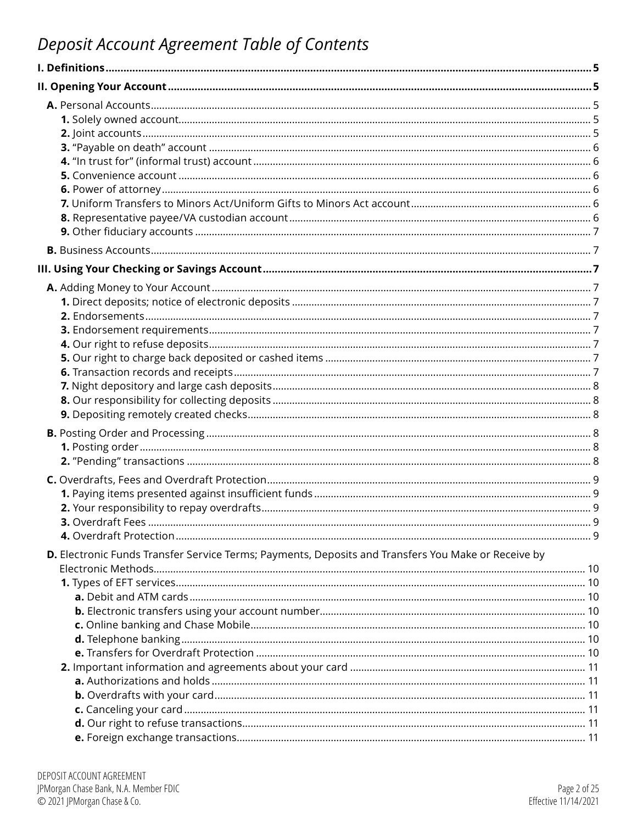## <span id="page-1-0"></span>Deposit Account Agreement Table of Contents

| D. Electronic Funds Transfer Service Terms; Payments, Deposits and Transfers You Make or Receive by |  |
|-----------------------------------------------------------------------------------------------------|--|
|                                                                                                     |  |
|                                                                                                     |  |
|                                                                                                     |  |
|                                                                                                     |  |
|                                                                                                     |  |
|                                                                                                     |  |
|                                                                                                     |  |
|                                                                                                     |  |
|                                                                                                     |  |
|                                                                                                     |  |
|                                                                                                     |  |
|                                                                                                     |  |
|                                                                                                     |  |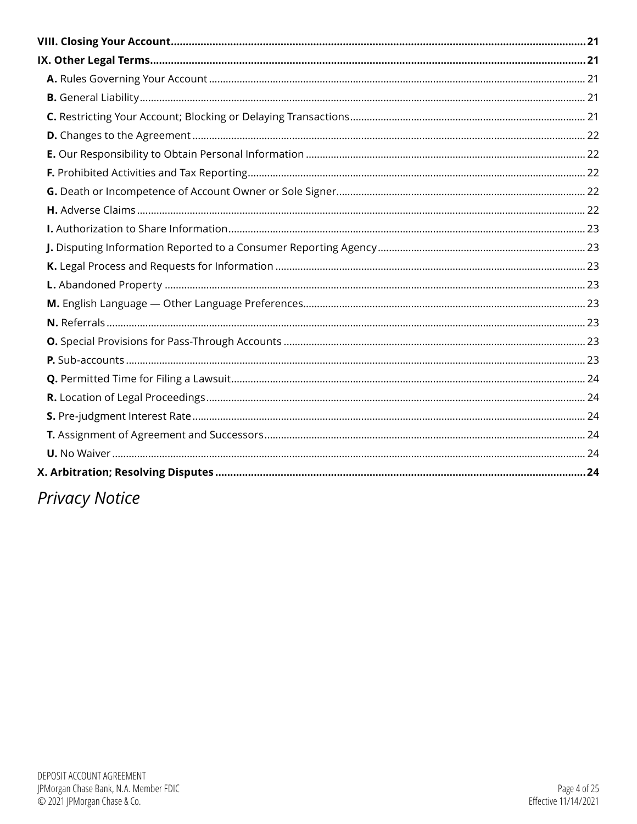# **Privacy Notice**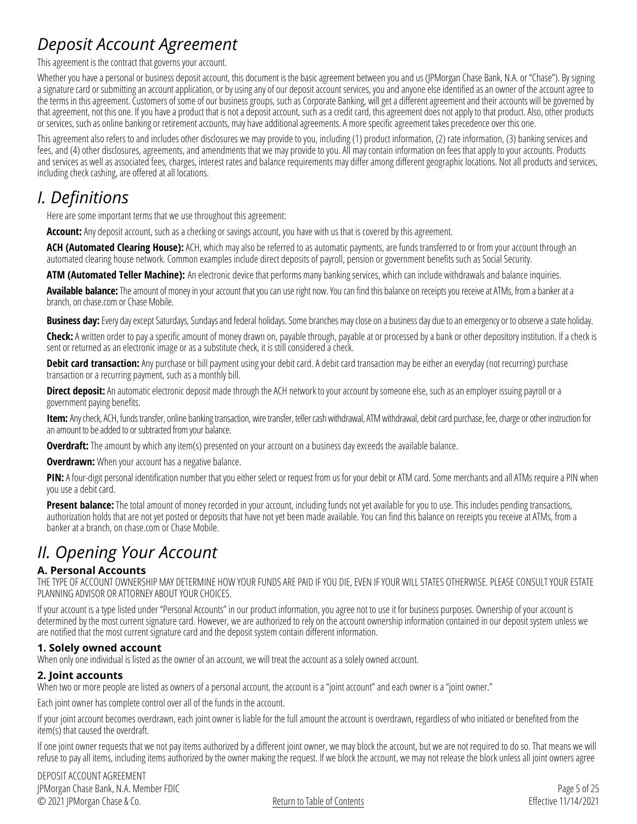### *Deposit Account Agreement*

This agreement is the contract that governs your account.

Whether you have a personal or business deposit account, this document is the basic agreement between you and us (JPMorgan Chase Bank, N.A. or "Chase"). By signing a signature card or submitting an account application, or by using any of our deposit account services, you and anyone else identified as an owner of the account agree to the terms in this agreement. Customers of some of our business groups, such as Corporate Banking, will get a different agreement and their accounts will be governed by that agreement, not this one. If you have a product that is not a deposit account, such as a credit card, this agreement does not apply to that product. Also, other products or services, such as online banking or retirement accounts, may have additional agreements. A more specific agreement takes precedence over this one.

This agreement also refers to and includes other disclosures we may provide to you, including (1) product information, (2) rate information, (3) banking services and fees, and (4) other disclosures, agreements, and amendments that we may provide to you. All may contain information on fees that apply to your accounts. Products and services as well as associated fees, charges, interest rates and balance requirements may differ among different geographic locations. Not all products and services, including check cashing, are offered at all locations.

### *I. Definitions*

Here are some important terms that we use throughout this agreement:

**Account:** Any deposit account, such as a checking or savings account, you have with us that is covered by this agreement.

**ACH (Automated Clearing House):** ACH, which may also be referred to as automatic payments, are funds transferred to or from your account through an automated clearing house network. Common examples include direct deposits of payroll, pension or government benefits such as Social Security.

**ATM (Automated Teller Machine):** An electronic device that performs many banking services, which can include withdrawals and balance inquiries.

**Available balance:** The amount of money in your account that you can use right now. You can find this balance on receipts you receive at ATMs, from a banker at a branch, on [chase.com](https://www.chase.com) or Chase Mobile.

**Business day:** Every day except Saturdays, Sundays and federal holidays. Some branches may close on a business day due to an emergency or to observe a state holiday.

**Check:** A written order to pay a specific amount of money drawn on, payable through, payable at or processed by a bank or other depository institution. If a check is sent or returned as an electronic image or as a substitute check, it is still considered a check.

**Debit card transaction:** Any purchase or bill payment using your debit card. A debit card transaction may be either an everyday (not recurring) purchase transaction or a recurring payment, such as a monthly bill.

**Direct deposit:** An automatic electronic deposit made through the ACH network to your account by someone else, such as an employer issuing payroll or a government paying benefits.

**Item:** Any check, ACH, funds transfer, online banking transaction, wire transfer, teller cash withdrawal, ATM withdrawal, debit card purchase, fee, charge or other instruction for an amount to be added to or subtracted from your balance.

**Overdraft:** The amount by which any item(s) presented on your account on a business day exceeds the available balance.

**Overdrawn:** When your account has a negative balance.

**PIN:** A four-digit personal identification number that you either select or request from us for your debit or ATM card. Some merchants and all ATMs require a PIN when you use a debit card.

**Present balance:** The total amount of money recorded in your account, including funds not yet available for you to use. This includes pending transactions, authorization holds that are not yet posted or deposits that have not yet been made available. You can find this balance on receipts you receive at ATMs, from a banker at a branch, on [chase.com](https://www.chase.com) or Chase Mobile.

### *II. Opening Your Account*

#### <span id="page-4-0"></span>**A. Personal Accounts**

THE TYPE OF ACCOUNT OWNERSHIP MAY DETERMINE HOW YOUR FUNDS ARE PAID IF YOU DIE, EVEN IF YOUR WILL STATES OTHERWISE. PLEASE CONSULT YOUR ESTATE PLANNING ADVISOR OR ATTORNEY ABOUT YOUR CHOICES.

If your account is a type listed under "Personal Accounts" in our product information, you agree not to use it for business purposes. Ownership of your account is determined by the most current signature card. However, we are authorized to rely on the account ownership information contained in our deposit system unless we are notified that the most current signature card and the deposit system contain different information.

#### <span id="page-4-1"></span>**1. Solely owned account**

When only one individual is listed as the owner of an account, we will treat the account as a solely owned account.

#### <span id="page-4-2"></span>**2. Joint accounts**

When two or more people are listed as owners of a personal account, the account is a "joint account" and each owner is a "joint owner."

Each joint owner has complete control over all of the funds in the account.

If your joint account becomes overdrawn, each joint owner is liable for the full amount the account is overdrawn, regardless of who initiated or benefited from the item(s) that caused the overdraft.

If one joint owner requests that we not pay items authorized by a different joint owner, we may block the account, but we are not required to do so. That means we will refuse to pay all items, including items authorized by the owner making the request. If we block the account, we may not release the block unless all joint owners agree

DEPOSIT ACCOUNT AGREEMENT JPMorgan Chase Bank, N.A. Member FDIC © 2021 JPMorgan Chase & Co.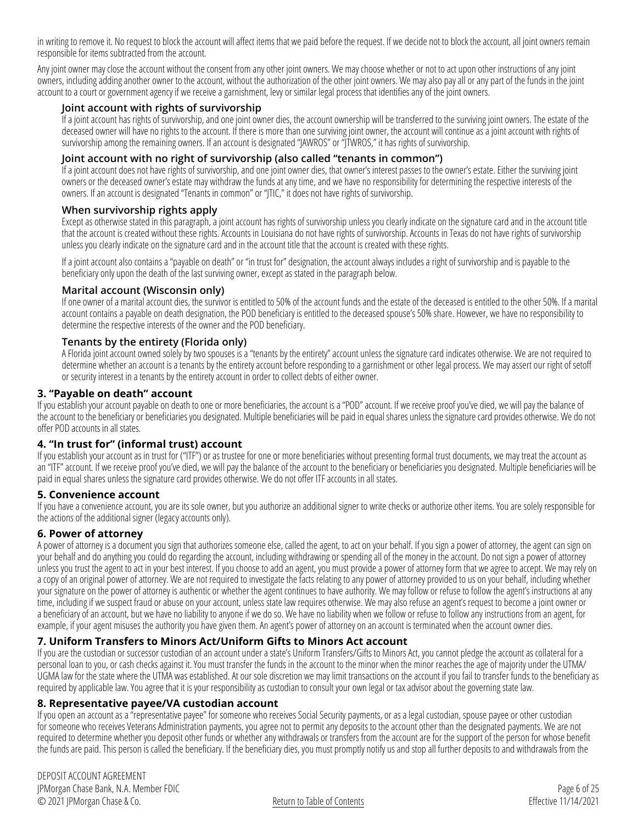in writing to remove it. No request to block the account will affect items that we paid before the request. If we decide not to block the account, all joint owners remain responsible for items subtracted from the account.

Any joint owner may close the account without the consent from any other joint owners. We may choose whether or not to act upon other instructions of any joint owners, including adding another owner to the account, without the authorization of the other joint owners. We may also pay all or any part of the funds in the joint account to a court or government agency if we receive a garnishment, levy or similar legal process that identifies any of the joint owners.

#### **Joint account with rights of survivorship**

If a joint account has rights of survivorship, and one joint owner dies, the account ownership will be transferred to the surviving joint owners. The estate of the deceased owner will have no rights to the account. If there is more than one surviving joint owner, the account will continue as a joint account with rights of survivorship among the remaining owners. If an account is designated "JAWROS" or "JTWROS," it has rights of survivorship.

#### **Joint account with no right of survivorship (also called "tenants in common")**

If a joint account does not have rights of survivorship, and one joint owner dies, that owner's interest passes to the owner's estate. Either the surviving joint owners or the deceased owner's estate may withdraw the funds at any time, and we have no responsibility for determining the respective interests of the owners. If an account is designated "Tenants in common" or "JTIC," it does not have rights of survivorship.

#### **When survivorship rights apply**

Except as otherwise stated in this paragraph, a joint account has rights of survivorship unless you clearly indicate on the signature card and in the account title that the account is created without these rights. Accounts in Louisiana do not have rights of survivorship. Accounts in Texas do not have rights of survivorship unless you clearly indicate on the signature card and in the account title that the account is created with these rights.

If a joint account also contains a "payable on death" or "in trust for" designation, the account always includes a right of survivorship and is payable to the beneficiary only upon the death of the last surviving owner, except as stated in the paragraph below.

#### **Marital account (Wisconsin only)**

If one owner of a marital account dies, the survivor is entitled to 50% of the account funds and the estate of the deceased is entitled to the other 50%. If a marital account contains a payable on death designation, the POD beneficiary is entitled to the deceased spouse's 50% share. However, we have no responsibility to determine the respective interests of the owner and the POD beneficiary.

#### **Tenants by the entirety (Florida only)**

A Florida joint account owned solely by two spouses is a "tenants by the entirety" account unless the signature card indicates otherwise. We are not required to determine whether an account is a tenants by the entirety account before responding to a garnishment or other legal process. We may assert our right of setoff or security interest in a tenants by the entirety account in order to collect debts of either owner.

#### **3. "Payable on death" account**

If you establish your account payable on death to one or more beneficiaries, the account is a "POD" account. If we receive proof you've died, we will pay the balance of the account to the beneficiary or beneficiaries you designated. Multiple beneficiaries will be paid in equal shares unless the signature card provides otherwise. We do not offer POD accounts in all states.

#### **4. "In trust for" (informal trust) account**

If you establish your account as in trust for ("ITF") or as trustee for one or more beneficiaries without presenting formal trust documents, we may treat the account as an "ITF" account. If we receive proof you've died, we will pay the balance of the account to the beneficiary or beneficiaries you designated. Multiple beneficiaries will be paid in equal shares unless the signature card provides otherwise. We do not offer ITF accounts in all states.

#### <span id="page-5-0"></span>**5. Convenience account**

If you have a convenience account, you are its sole owner, but you authorize an additional signer to write checks or authorize other items. You are solely responsible for the actions of the additional signer (legacy accounts only).

#### <span id="page-5-1"></span>**6. Power of attorney**

A power of attorney is a document you sign that authorizes someone else, called the agent, to act on your behalf. If you sign a power of attorney, the agent can sign on your behalf and do anything you could do regarding the account, including withdrawing or spending all of the money in the account. Do not sign a power of attorney unless you trust the agent to act in your best interest. If you choose to add an agent, you must provide a power of attorney form that we agree to accept. We may rely on a copy of an original power of attorney. We are not required to investigate the facts relating to any power of attorney provided to us on your behalf, including whether your signature on the power of attorney is authentic or whether the agent continues to have authority. We may follow or refuse to follow the agent's instructions at any time, including if we suspect fraud or abuse on your account, unless state law requires otherwise. We may also refuse an agent's request to become a joint owner or a beneficiary of an account, but we have no liability to anyone if we do so. We have no liability when we follow or refuse to follow any instructions from an agent, for example, if your agent misuses the authority you have given them. An agent's power of attorney on an account is terminated when the account owner dies.

#### <span id="page-5-2"></span>**7. Uniform Transfers to Minors Act/Uniform Gifts to Minors Act account**

If you are the custodian or successor custodian of an account under a state's Uniform Transfers/Gifts to Minors Act, you cannot pledge the account as collateral for a personal loan to you, or cash checks against it. You must transfer the funds in the account to the minor when the minor reaches the age of majority under the UTMA/ UGMA law for the state where the UTMA was established. At our sole discretion we may limit transactions on the account if you fail to transfer funds to the beneficiary as required by applicable law. You agree that it is your responsibility as custodian to consult your own legal or tax advisor about the governing state law.

#### <span id="page-5-3"></span>**8. Representative payee/VA custodian account**

If you open an account as a "representative payee" for someone who receives Social Security payments, or as a legal custodian, spouse payee or other custodian for someone who receives Veterans Administration payments, you agree not to permit any deposits to the account other than the designated payments. We are not required to determine whether you deposit other funds or whether any withdrawals or transfers from the account are for the support of the person for whose benefit the funds are paid. This person is called the beneficiary. If the beneficiary dies, you must promptly notify us and stop all further deposits to and withdrawals from the

DEPOSIT ACCOUNT AGREEMENT JPMorgan Chase Bank, N.A. Member FDIC © 2021 JPMorgan Chase & Co.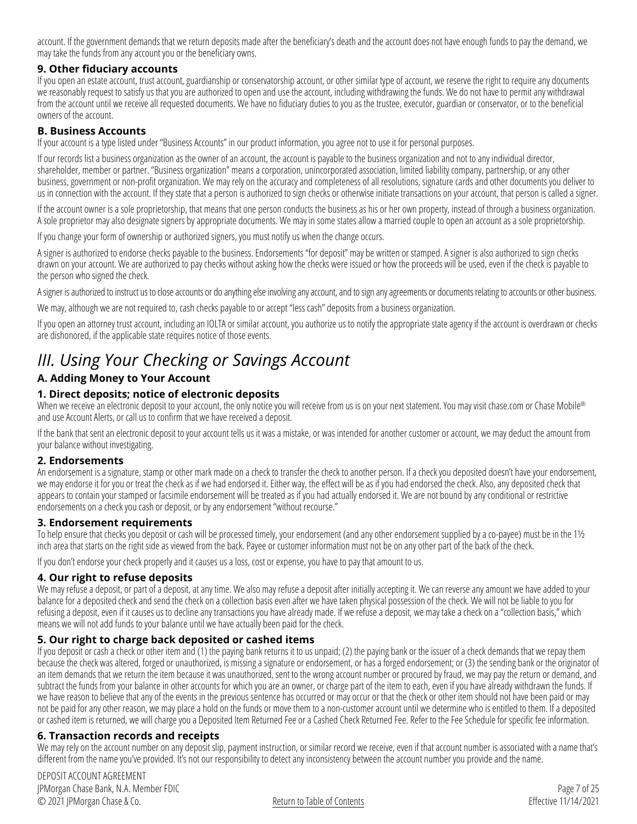account. If the government demands that we return deposits made after the beneficiary's death and the account does not have enough funds to pay the demand, we may take the funds from any account you or the beneficiary owns.

#### <span id="page-6-0"></span>**9. Other fiduciary accounts**

If you open an estate account, trust account, guardianship or conservatorship account, or other similar type of account, we reserve the right to require any documents we reasonably request to satisfy us that you are authorized to open and use the account, including withdrawing the funds. We do not have to permit any withdrawal from the account until we receive all requested documents. We have no fiduciary duties to you as the trustee, executor, guardian or conservator, or to the beneficial owners of the account.

#### <span id="page-6-1"></span>**B. Business Accounts**

If your account is a type listed under "Business Accounts" in our product information, you agree not to use it for personal purposes.

If our records list a business organization as the owner of an account, the account is payable to the business organization and not to any individual director, shareholder, member or partner. "Business organization" means a corporation, unincorporated association, limited liability company, partnership, or any other business, government or non-profit organization. We may rely on the accuracy and completeness of all resolutions, signature cards and other documents you deliver to us in connection with the account. If they state that a person is authorized to sign checks or otherwise initiate transactions on your account, that person is called a signer.

If the account owner is a sole proprietorship, that means that one person conducts the business as his or her own property, instead of through a business organization. A sole proprietor may also designate signers by appropriate documents. We may in some states allow a married couple to open an account as a sole proprietorship.

If you change your form of ownership or authorized signers, you must notify us when the change occurs.

A signer is authorized to endorse checks payable to the business. Endorsements "for deposit" may be written or stamped. A signer is also authorized to sign checks drawn on your account. We are authorized to pay checks without asking how the checks were issued or how the proceeds will be used, even if the check is payable to the person who signed the check.

A signer is authorized to instruct us to close accounts or do anything else involving any account, and to sign any agreements or documents relating to accounts or other business.

We may, although we are not required to, cash checks payable to or accept "less cash" deposits from a business organization.

If you open an attorney trust account, including an IOLTA or similar account, you authorize us to notify the appropriate state agency if the account is overdrawn or checks are dishonored, if the applicable state requires notice of those events.

### *III. Using Your Checking or Savings Account*

#### <span id="page-6-2"></span>**A. Adding Money to Your Account**

#### <span id="page-6-3"></span>**1. Direct deposits; notice of electronic deposits**

When we receive an electronic deposit to your account, the only notice you will receive from us is on your next statement. You may visit [chase.com](https://www.chase.com) or Chase Mobile® and use Account Alerts, or call us to confirm that we have received a deposit.

If the bank that sent an electronic deposit to your account tells us it was a mistake, or was intended for another customer or account, we may deduct the amount from your balance without investigating.

#### <span id="page-6-4"></span>**2. Endorsements**

An endorsement is a signature, stamp or other mark made on a check to transfer the check to another person. If a check you deposited doesn't have your endorsement, we may endorse it for you or treat the check as if we had endorsed it. Either way, the effect will be as if you had endorsed the check. Also, any deposited check that appears to contain your stamped or facsimile endorsement will be treated as if you had actually endorsed it. We are not bound by any conditional or restrictive endorsements on a check you cash or deposit, or by any endorsement "without recourse."

#### <span id="page-6-5"></span>**3. Endorsement requirements**

To help ensure that checks you deposit or cash will be processed timely, your endorsement (and any other endorsement supplied by a co-payee) must be in the 1½ inch area that starts on the right side as viewed from the back. Payee or customer information must not be on any other part of the back of the check.

If you don't endorse your check properly and it causes us a loss, cost or expense, you have to pay that amount to us.

#### <span id="page-6-6"></span>**4. Our right to refuse deposits**

We may refuse a deposit, or part of a deposit, at any time. We also may refuse a deposit after initially accepting it. We can reverse any amount we have added to your balance for a deposited check and send the check on a collection basis even after we have taken physical possession of the check. We will not be liable to you for refusing a deposit, even if it causes us to decline any transactions you have already made. If we refuse a deposit, we may take a check on a "collection basis," which means we will not add funds to your balance until we have actually been paid for the check.

#### <span id="page-6-7"></span>**5. Our right to charge back deposited or cashed items**

If you deposit or cash a check or other item and (1) the paying bank returns it to us unpaid; (2) the paying bank or the issuer of a check demands that we repay them because the check was altered, forged or unauthorized, is missing a signature or endorsement, or has a forged endorsement; or (3) the sending bank or the originator of an item demands that we return the item because it was unauthorized, sent to the wrong account number or procured by fraud, we may pay the return or demand, and subtract the funds from your balance in other accounts for which you are an owner, or charge part of the item to each, even if you have already withdrawn the funds. If we have reason to believe that any of the events in the previous sentence has occurred or may occur or that the check or other item should not have been paid or may not be paid for any other reason, we may place a hold on the funds or move them to a non-customer account until we determine who is entitled to them. If a deposited or cashed item is returned, we will charge you a Deposited Item Returned Fee or a Cashed Check Returned Fee. Refer to the Fee Schedule for specific fee information.

#### <span id="page-6-8"></span>**6. Transaction records and receipts**

We may rely on the account number on any deposit slip, payment instruction, or similar record we receive, even if that account number is associated with a name that's different from the name you've provided. It's not our responsibility to detect any inconsistency between the account number you provide and the name.

DEPOSIT ACCOUNT AGREEMENT JPMorgan Chase Bank, N.A. Member FDIC © 2021 JPMorgan Chase & Co.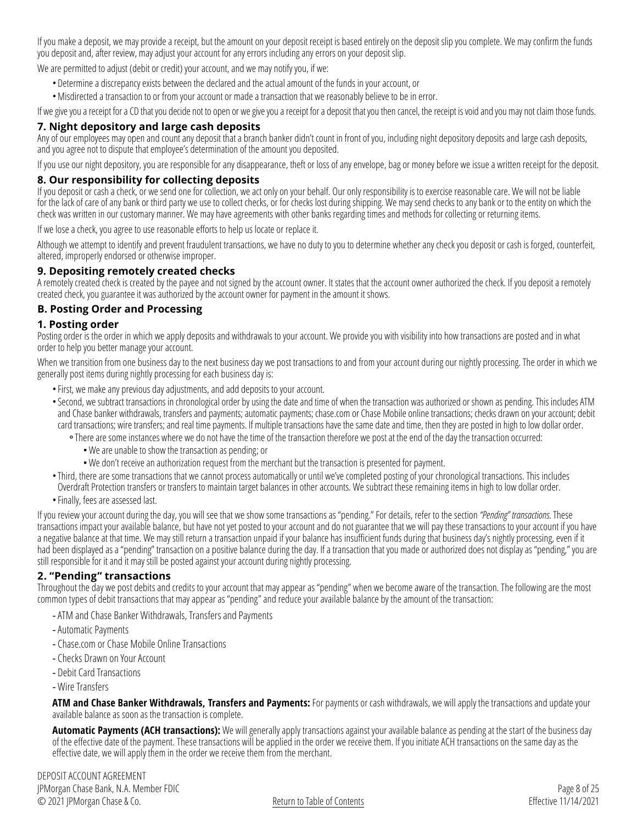If you make a deposit, we may provide a receipt, but the amount on your deposit receipt is based entirely on the deposit slip you complete. We may confirm the funds you deposit and, after review, may adjust your account for any errors including any errors on your deposit slip.

We are permitted to adjust (debit or credit) your account, and we may notify you, if we:

- Determine a discrepancy exists between the declared and the actual amount of the funds in your account, or
- •Misdirected a transaction to or from your account or made a transaction that we reasonably believe to be in error.

If we give you a receipt for a CD that you decide not to open or we give you a receipt for a deposit that you then cancel, the receipt is void and you may not claim those funds.

#### <span id="page-7-0"></span>**7. Night depository and large cash deposits**

Any of our employees may open and count any deposit that a branch banker didn't count in front of you, including night depository deposits and large cash deposits, and you agree not to dispute that employee's determination of the amount you deposited.

If you use our night depository, you are responsible for any disappearance, theft or loss of any envelope, bag or money before we issue a written receipt for the deposit.

#### <span id="page-7-1"></span>**8. Our responsibility for collecting deposits**

If you deposit or cash a check, or we send one for collection, we act only on your behalf. Our only responsibility is to exercise reasonable care. We will not be liable for the lack of care of any bank or third party we use to collect checks, or for checks lost during shipping. We may send checks to any bank or to the entity on which the check was written in our customary manner. We may have agreements with other banks regarding times and methods for collecting or returning items.

If we lose a check, you agree to use reasonable efforts to help us locate or replace it.

Although we attempt to identify and prevent fraudulent transactions, we have no duty to you to determine whether any check you deposit or cash is forged, counterfeit, altered, improperly endorsed or otherwise improper.

#### <span id="page-7-2"></span>**9. Depositing remotely created checks**

A remotely created check is created by the payee and not signed by the account owner. It states that the account owner authorized the check. If you deposit a remotely created check, you guarantee it was authorized by the account owner for payment in the amount it shows.

#### <span id="page-7-3"></span>**B. Posting Order and Processing**

#### <span id="page-7-4"></span>**1. Posting order**

Posting order is the order in which we apply deposits and withdrawals to your account. We provide you with visibility into how transactions are posted and in what order to help you better manage your account.

When we transition from one business day to the next business day we post transactions to and from your account during our nightly processing. The order in which we generally post items during nightly processing for each business day is:

•First, we make any previous day adjustments, and add deposits to your account.

•Second, we subtract transactions in chronological order by using the date and time of when the transaction was authorized or shown as pending. This includes ATM and Chase banker withdrawals, transfers and payments; automatic payments; [chase.com](https://www.chase.com) or Chase Mobile online transactions; checks drawn on your account; debit card transactions; wire transfers; and real time payments. If multiple transactions have the same date and time, then they are posted in high to low dollar order.

- °There are some instances where we do not have the time of the transaction therefore we post at the end of the day the transaction occurred:
	- • We are unable to show the transaction as pending; or
	- • We don't receive an authorization request from the merchant but the transaction is presented for payment.
- •Third, there are some transactions that we cannot process automatically or until we've completed posting of your chronological transactions. This includes Overdraft Protection transfers or transfers to maintain target balances in other accounts. We subtract these remaining items in high to low dollar order.
- •Finally, fees are assessed last.

If you review your account during the day, you will see that we show some transactions as "pending." For details, refer to the section *"Pending" transactions.* These transactions impact your available balance, but have not yet posted to your account and do not guarantee that we will pay these transactions to your account if you have a negative balance at that time. We may still return a transaction unpaid if your balance has insufficient funds during that business day's nightly processing, even if it had been displayed as a "pending" transaction on a positive balance during the day. If a transaction that you made or authorized does not display as "pending," you are still responsible for it and it may still be posted against your account during nightly processing.

#### **2. "Pending" transactions**

Throughout the day we post debits and credits to your account that may appear as "pending" when we become aware of the transaction. The following are the most common types of debit transactions that may appear as "pending" and reduce your available balance by the amount of the transaction:

- -ATM and Chase Banker Withdrawals, Transfers and Payments
- -Automatic Payments
- [Chase.com](https://www.Chase.com) or Chase Mobile Online Transactions
- Checks Drawn on Your Account
- Debit Card Transactions
- Wire Transfers

**ATM and Chase Banker Withdrawals, Transfers and Payments:** For payments or cash withdrawals, we will apply the transactions and update your available balance as soon as the transaction is complete.

**Automatic Payments (ACH transactions):** We will generally apply transactions against your available balance as pending at the start of the business day of the effective date of the payment. These transactions will be applied in the order we receive them. If you initiate ACH transactions on the same day as the effective date, we will apply them in the order we receive them from the merchant.

DEPOSIT ACCOUNT AGREEMENT JPMorgan Chase Bank, N.A. Member FDIC © 2021 JPMorgan Chase & Co.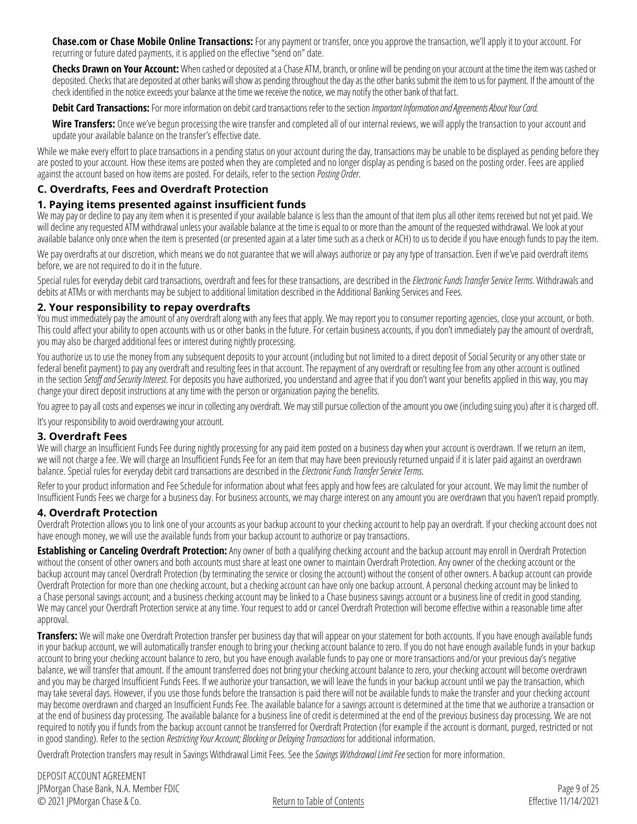**[Chase.com](https://www.Chase.com) or Chase Mobile Online Transactions:** For any payment or transfer, once you approve the transaction, we'll apply it to your account. For recurring or future dated payments, it is applied on the effective "send on" date.

**Checks Drawn on Your Account:** When cashed or deposited at a Chase ATM, branch, or online will be pending on your account at the time the item was cashed or deposited. Checks that are deposited at other banks will show as pending throughout the day as the other banks submit the item to us for payment. If the amount of the check identified in the notice exceeds your balance at the time we receive the notice, we may notify the other bank of that fact.

**Debit Card Transactions:** For more information on debit card transactions refer to the section *[Important Information and Agreements About Your Card](#page-10-0)*.

**Wire Transfers:** Once we've begun processing the wire transfer and completed all of our internal reviews, we will apply the transaction to your account and update your available balance on the transfer's effective date.

While we make every effort to place transactions in a pending status on your account during the day, transactions may be unable to be displayed as pending before they are posted to your account. How these items are posted when they are completed and no longer display as pending is based on the posting order. Fees are applied against the account based on how items are posted. For details, refer to the section *[Posting Order](#page-7-4)*.

#### <span id="page-8-0"></span>**C. Overdrafts, Fees and Overdraft Protection**

#### <span id="page-8-1"></span>**1. Paying items presented against insufficient funds**

We may pay or decline to pay any item when it is presented if your available balance is less than the amount of that item plus all other items received but not yet paid. We will decline any requested ATM withdrawal unless your available balance at the time is equal to or more than the amount of the requested withdrawal. We look at your available balance only once when the item is presented (or presented again at a later time such as a check or ACH) to us to decide if you have enough funds to pay the item.

We pay overdrafts at our discretion, which means we do not guarantee that we will always authorize or pay any type of transaction. Even if we've paid overdraft items before, we are not required to do it in the future.

Special rules for everyday debit card transactions, overdraft and fees for these transactions, are described in the *[Electronic Funds Transfer Service Terms](#page-9-0)*. Withdrawals and debits at ATMs or with merchants may be subject to additional limitation described in the Additional Banking Services and Fees.

#### <span id="page-8-2"></span>**2. Your responsibility to repay overdrafts**

You must immediately pay the amount of any overdraft along with any fees that apply. We may report you to consumer reporting agencies, close your account, or both. This could affect your ability to open accounts with us or other banks in the future. For certain business accounts, if you don't immediately pay the amount of overdraft, you may also be charged additional fees or interest during nightly processing.

You authorize us to use the money from any subsequent deposits to your account (including but not limited to a direct deposit of Social Security or any other state or federal benefit payment) to pay any overdraft and resulting fees in that account. The repayment of any overdraft or resulting fee from any other account is outlined in the section *Setoff and Security Interest*. For deposits you have authorized, you understand and agree that if you don't want your benefits applied in this way, you may change your direct deposit instructions at any time with the person or organization paying the benefits.

You agree to pay all costs and expenses we incur in collecting any overdraft. We may still pursue collection of the amount you owe (including suing you) after it is charged off.

It's your responsibility to avoid overdrawing your account.

#### <span id="page-8-3"></span>**3. Overdraft Fees**

We will charge an Insufficient Funds Fee during nightly processing for any paid item posted on a business day when your account is overdrawn. If we return an item, we will not charge a fee. We will charge an Insufficient Funds Fee for an item that may have been previously returned unpaid if it is later paid against an overdrawn balance. Special rules for everyday debit card transactions are described in the *[Electronic Funds Transfer Service Terms](#page-9-0)*.

Refer to your product information and Fee Schedule for information about what fees apply and how fees are calculated for your account. We may limit the number of Insufficient Funds Fees we charge for a business day. For business accounts, we may charge interest on any amount you are overdrawn that you haven't repaid promptly.

#### <span id="page-8-4"></span>**4. Overdraft Protection**

Overdraft Protection allows you to link one of your accounts as your backup account to your checking account to help pay an overdraft. If your checking account does not have enough money, we will use the available funds from your backup account to authorize or pay transactions.

**Establishing or Canceling Overdraft Protection:** Any owner of both a qualifying checking account and the backup account may enroll in Overdraft Protection without the consent of other owners and both accounts must share at least one owner to maintain Overdraft Protection. Any owner of the checking account or the backup account may cancel Overdraft Protection (by terminating the service or closing the account) without the consent of other owners. A backup account can provide Overdraft Protection for more than one checking account, but a checking account can have only one backup account. A personal checking account may be linked to a Chase personal savings account; and a business checking account may be linked to a Chase business savings account or a business line of credit in good standing. We may cancel your Overdraft Protection service at any time. Your request to add or cancel Overdraft Protection will become effective within a reasonable time after approval.

**Transfers:** We will make one Overdraft Protection transfer per business day that will appear on your statement for both accounts. If you have enough available funds in your backup account, we will automatically transfer enough to bring your checking account balance to zero. If you do not have enough available funds in your backup account to bring your checking account balance to zero, but you have enough available funds to pay one or more transactions and/or your previous day's negative balance, we will transfer that amount. If the amount transferred does not bring your checking account balance to zero, your checking account will become overdrawn and you may be charged Insufficient Funds Fees. If we authorize your transaction, we will leave the funds in your backup account until we pay the transaction, which may take several days. However, if you use those funds before the transaction is paid there will not be available funds to make the transfer and your checking account may become overdrawn and charged an Insufficient Funds Fee. The available balance for a savings account is determined at the time that we authorize a transaction or at the end of business day processing. The available balance for a business line of credit is determined at the end of the previous business day processing. We are not required to notify you if funds from the backup account cannot be transferred for Overdraft Protection (for example if the account is dormant, purged, restricted or not in good standing). Refer to the section *[Restricting Your Account; Blocking or Delaying Transactions](#page-20-2)* for additional information.

Overdraft Protection transfers may result in Savings Withdrawal Limit Fees. See the*[Savings Withdrawal Limit Fee](#page-18-3)* section for more information.

DEPOSIT ACCOUNT AGREEMENT JPMorgan Chase Bank, N.A. Member FDIC © 2021 JPMorgan Chase & Co.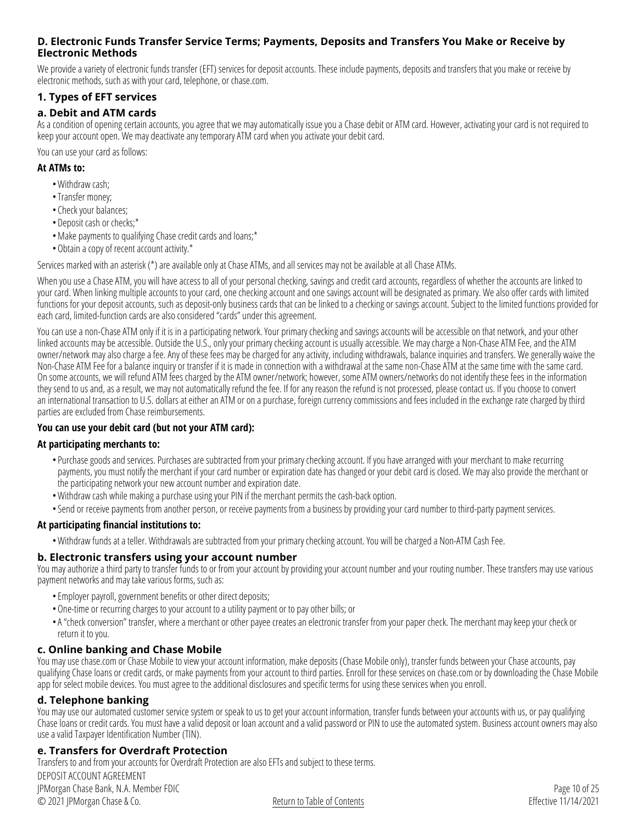#### <span id="page-9-0"></span>**D. Electronic Funds Transfer Service Terms; Payments, Deposits and Transfers You Make or Receive by Electronic Methods**

We provide a variety of electronic funds transfer (EFT) services for deposit accounts. These include payments, deposits and transfers that you make or receive by electronic methods, such as with your card, telephone, or [chase.com](https://www.chase.com).

#### <span id="page-9-1"></span>**1. Types of EFT services**

#### **a. Debit and ATM cards**

As a condition of opening certain accounts, you agree that we may automatically issue you a Chase debit or ATM card. However, activating your card is not required to keep your account open. We may deactivate any temporary ATM card when you activate your debit card.

You can use your card as follows:

#### **At ATMs to:**

- •Withdraw cash;
- •Transfer money;
- Check your balances;
- Deposit cash or checks;\*
- •Make payments to qualifying Chase credit cards and loans;\*
- •Obtain a copy of recent account activity.\*

Services marked with an asterisk (\*) are available only at Chase ATMs, and all services may not be available at all Chase ATMs.

When you use a Chase ATM, you will have access to all of your personal checking, savings and credit card accounts, regardless of whether the accounts are linked to your card. When linking multiple accounts to your card, one checking account and one savings account will be designated as primary. We also offer cards with limited functions for your deposit accounts, such as deposit-only business cards that can be linked to a checking or savings account. Subject to the limited functions provided for each card, limited-function cards are also considered "cards" under this agreement.

You can use a non-Chase ATM only if it is in a participating network. Your primary checking and savings accounts will be accessible on that network, and your other linked accounts may be accessible. Outside the U.S., only your primary checking account is usually accessible. We may charge a Non-Chase ATM Fee, and the ATM owner/network may also charge a fee. Any of these fees may be charged for any activity, including withdrawals, balance inquiries and transfers. We generally waive the Non-Chase ATM Fee for a balance inquiry or transfer if it is made in connection with a withdrawal at the same non-Chase ATM at the same time with the same card. On some accounts, we will refund ATM fees charged by the ATM owner/network; however, some ATM owners/networks do not identify these fees in the information they send to us and, as a result, we may not automatically refund the fee. If for any reason the refund is not processed, please contact us. If you choose to convert an international transaction to U.S. dollars at either an ATM or on a purchase, foreign currency commissions and fees included in the exchange rate charged by third parties are excluded from Chase reimbursements.

#### **You can use your debit card (but not your ATM card):**

#### **At participating merchants to:**

- Purchase goods and services. Purchases are subtracted from your primary checking account. If you have arranged with your merchant to make recurring payments, you must notify the merchant if your card number or expiration date has changed or your debit card is closed. We may also provide the merchant or the participating network your new account number and expiration date.
- •Withdraw cash while making a purchase using your PIN if the merchant permits the cash-back option.
- •Send or receive payments from another person, or receive payments from a business by providing your card number to third-party payment services.

#### **At participating financial institutions to:**

•Withdraw funds at a teller. Withdrawals are subtracted from your primary checking account. You will be charged a Non-ATM Cash Fee.

#### **b. Electronic transfers using your account number**

You may authorize a third party to transfer funds to or from your account by providing your account number and your routing number. These transfers may use various payment networks and may take various forms, such as:

- •Employer payroll, government benefits or other direct deposits;
- •One-time or recurring charges to your account to a utility payment or to pay other bills; or
- •A "check conversion" transfer, where a merchant or other payee creates an electronic transfer from your paper check. The merchant may keep your check or return it to you.

#### **c. Online banking and Chase Mobile**

You may use [chase.com](https://www.chase.com) or Chase Mobile to view your account information, make deposits (Chase Mobile only), transfer funds between your Chase accounts, pay qualifying Chase loans or credit cards, or make payments from your account to third parties. Enroll for these services on [chase.com](https://www.chase.com) or by downloading the Chase Mobile app for select mobile devices. You must agree to the additional disclosures and specific terms for using these services when you enroll.

#### **d. Telephone banking**

You may use our automated customer service system or speak to us to get your account information, transfer funds between your accounts with us, or pay qualifying Chase loans or credit cards. You must have a valid deposit or loan account and a valid password or PIN to use the automated system. Business account owners may also use a valid Taxpayer Identification Number (TIN).

#### **e. Transfers for Overdraft Protection**

Transfers to and from your accounts for Overdraft Protection are also EFTs and subject to these terms.

DEPOSIT ACCOUNT AGREEMENT JPMorgan Chase Bank, N.A. Member FDIC © 2021 JPMorgan Chase & Co.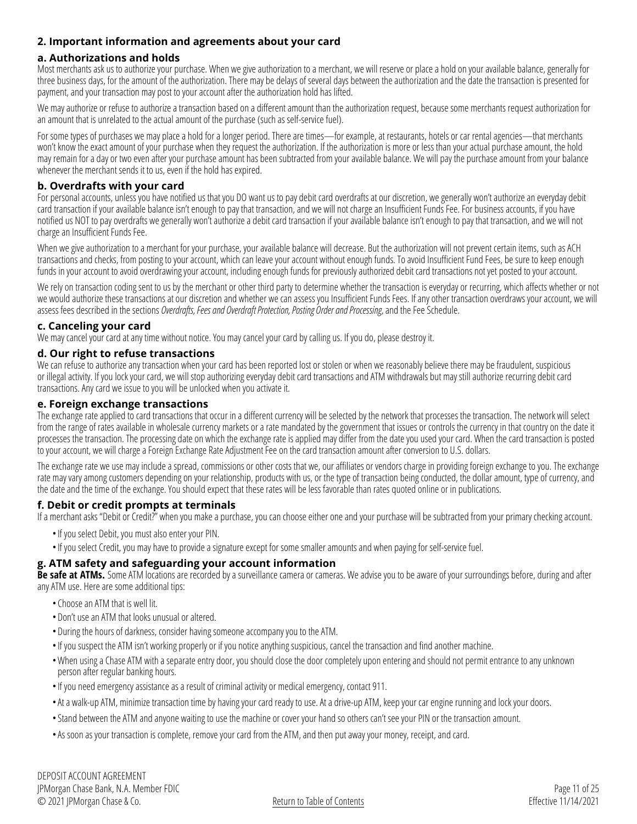#### <span id="page-10-0"></span>**2. Important information and agreements about your card**

#### **a. Authorizations and holds**

Most merchants ask us to authorize your purchase. When we give authorization to a merchant, we will reserve or place a hold on your available balance, generally for three business days, for the amount of the authorization. There may be delays of several days between the authorization and the date the transaction is presented for payment, and your transaction may post to your account after the authorization hold has lifted.

We may authorize or refuse to authorize a transaction based on a different amount than the authorization request, because some merchants request authorization for an amount that is unrelated to the actual amount of the purchase (such as self-service fuel).

For some types of purchases we may place a hold for a longer period. There are times—for example, at restaurants, hotels or car rental agencies—that merchants won't know the exact amount of your purchase when they request the authorization. If the authorization is more or less than your actual purchase amount, the hold may remain for a day or two even after your purchase amount has been subtracted from your available balance. We will pay the purchase amount from your balance whenever the merchant sends it to us, even if the hold has expired.

#### **b. Overdrafts with your card**

For personal accounts, unless you have notified us that you DO want us to pay debit card overdrafts at our discretion, we generally won't authorize an everyday debit card transaction if your available balance isn't enough to pay that transaction, and we will not charge an Insufficient Funds Fee. For business accounts, if you have notified us NOT to pay overdrafts we generally won't authorize a debit card transaction if your available balance isn't enough to pay that transaction, and we will not charge an Insufficient Funds Fee.

When we give authorization to a merchant for your purchase, your available balance will decrease. But the authorization will not prevent certain items, such as ACH transactions and checks, from posting to your account, which can leave your account without enough funds. To avoid Insufficient Fund Fees, be sure to keep enough funds in your account to avoid overdrawing your account, including enough funds for previously authorized debit card transactions not yet posted to your account.

We rely on transaction coding sent to us by the merchant or other third party to determine whether the transaction is everyday or recurring, which affects whether or not we would authorize these transactions at our discretion and whether we can assess you Insufficient Funds Fees. If any other transaction overdraws your account, we will assess fees described in the sections *[Overdrafts, Fees and Overdraft Protection](#page-8-0), [Posting Order and Processing,](#page-7-3)* and the Fee Schedule.

#### **c. Canceling your card**

We may cancel your card at any time without notice. You may cancel your card by calling us. If you do, please destroy it.

#### **d. Our right to refuse transactions**

We can refuse to authorize any transaction when your card has been reported lost or stolen or when we reasonably believe there may be fraudulent, suspicious or illegal activity. If you lock your card, we will stop authorizing everyday debit card transactions and ATM withdrawals but may still authorize recurring debit card transactions. Any card we issue to you will be unlocked when you activate it.

#### **e. Foreign exchange transactions**

The exchange rate applied to card transactions that occur in a different currency will be selected by the network that processes the transaction. The network will select from the range of rates available in wholesale currency markets or a rate mandated by the government that issues or controls the currency in that country on the date it processes the transaction. The processing date on which the exchange rate is applied may differ from the date you used your card. When the card transaction is posted to your account, we will charge a Foreign Exchange Rate Adjustment Fee on the card transaction amount after conversion to U.S. dollars.

The exchange rate we use may include a spread, commissions or other costs that we, our affiliates or vendors charge in providing foreign exchange to you. The exchange rate may vary among customers depending on your relationship, products with us, or the type of transaction being conducted, the dollar amount, type of currency, and the date and the time of the exchange. You should expect that these rates will be less favorable than rates quoted online or in publications.

#### **f. Debit or credit prompts at terminals**

If a merchant asks "Debit or Credit?" when you make a purchase, you can choose either one and your purchase will be subtracted from your primary checking account.

- •If you select Debit, you must also enter your PIN.
- •If you select Credit, you may have to provide a signature except for some smaller amounts and when paying for self-service fuel.

#### **g. ATM safety and safeguarding your account information**

Be safe at ATMs. Some ATM locations are recorded by a surveillance camera or cameras. We advise you to be aware of your surroundings before, during and after any ATM use. Here are some additional tips:

- Choose an ATM that is well lit.
- Don't use an ATM that looks unusual or altered.
- During the hours of darkness, consider having someone accompany you to the ATM.
- •If you suspect the ATM isn't working properly or if you notice anything suspicious, cancel the transaction and find another machine.
- •When using a Chase ATM with a separate entry door, you should close the door completely upon entering and should not permit entrance to any unknown person after regular banking hours.
- •If you need emergency assistance as a result of criminal activity or medical emergency, contact 911.
- •At a walk-up ATM, minimize transaction time by having your card ready to use. At a drive-up ATM, keep your car engine running and lock your doors.
- •Stand between the ATM and anyone waiting to use the machine or cover your hand so others can't see your PIN or the transaction amount.
- •As soon as your transaction is complete, remove your card from the ATM, and then put away your money, receipt, and card.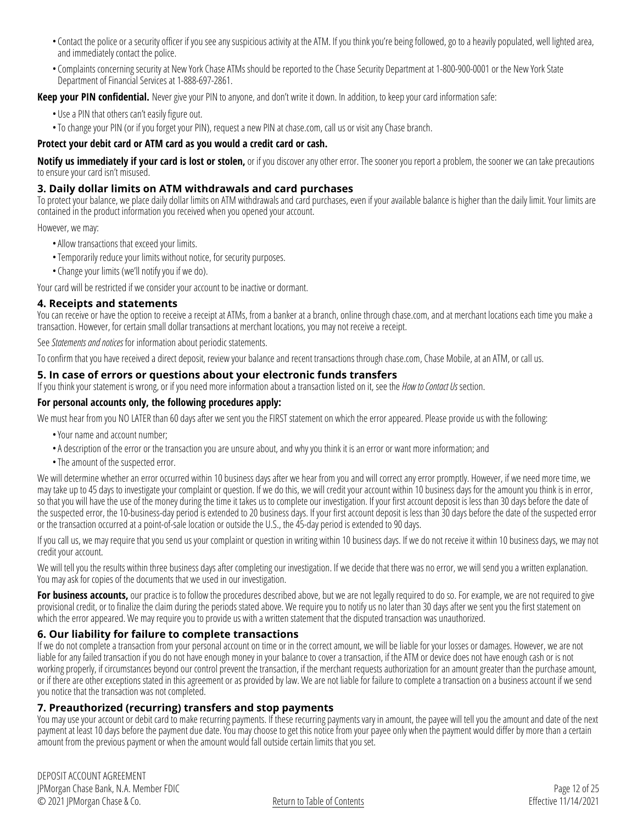- Contact the police or a security officer if you see any suspicious activity at the ATM. If you think you're being followed, go to a heavily populated, well lighted area, and immediately contact the police.
- Complaints concerning security at New York Chase ATMs should be reported to the Chase Security Department at 1-800-900-0001 or the New York State Department of Financial Services at 1-888-697-2861.

**Keep your PIN confidential.** Never give your PIN to anyone, and don't write it down. In addition, to keep your card information safe:

- Use a PIN that others can't easily figure out.
- •To change your PIN (or if you forget your PIN), request a new PIN at [chase.com](https://www.chase.com), call us or visit any Chase branch.

#### **Protect your debit card or ATM card as you would a credit card or cash.**

**Notify us immediately if your card is lost or stolen,** or if you discover any other error. The sooner you report a problem, the sooner we can take precautions to ensure your card isn't misused.

#### <span id="page-11-0"></span>**3. Daily dollar limits on ATM withdrawals and card purchases**

To protect your balance, we place daily dollar limits on ATM withdrawals and card purchases, even if your available balance is higher than the daily limit. Your limits are contained in the product information you received when you opened your account.

#### However, we may:

- •Allow transactions that exceed your limits.
- •Temporarily reduce your limits without notice, for security purposes.
- Change your limits (we'll notify you if we do).

Your card will be restricted if we consider your account to be inactive or dormant.

#### <span id="page-11-1"></span>**4. Receipts and statements**

You can receive or have the option to receive a receipt at ATMs, from a banker at a branch, online through [chase.com,](https://www.chase.com) and at merchant locations each time you make a transaction. However, for certain small dollar transactions at merchant locations, you may not receive a receipt.

See *[Statements and notices](#page-17-3)* for information about periodic statements.

To confirm that you have received a direct deposit, review your balance and recent transactions through [chase.com,](https://www.chase.com) Chase Mobile, at an ATM, or call us.

#### <span id="page-11-2"></span>**5. In case of errors or questions about your electronic funds transfers**

If you think your statement is wrong, or if you need more information about a transaction listed on it, see the *[How to Contact Us](#page-0-0)* section.

#### **For personal accounts only, the following procedures apply:**

We must hear from you NO LATER than 60 days after we sent you the FIRST statement on which the error appeared. Please provide us with the following:

- •Your name and account number;
- •A description of the error or the transaction you are unsure about, and why you think it is an error or want more information; and
- •The amount of the suspected error.

We will determine whether an error occurred within 10 business days after we hear from you and will correct any error promptly. However, if we need more time, we may take up to 45 days to investigate your complaint or question. If we do this, we will credit your account within 10 business days for the amount you think is in error, so that you will have the use of the money during the time it takes us to complete our investigation. If your first account deposit is less than 30 days before the date of the suspected error, the 10-business-day period is extended to 20 business days. If your first account deposit is less than 30 days before the date of the suspected error or the transaction occurred at a point-of-sale location or outside the U.S., the 45-day period is extended to 90 days.

If you call us, we may require that you send us your complaint or question in writing within 10 business days. If we do not receive it within 10 business days, we may not credit your account.

We will tell you the results within three business days after completing our investigation. If we decide that there was no error, we will send you a written explanation. You may ask for copies of the documents that we used in our investigation.

For business accounts, our practice is to follow the procedures described above, but we are not legally required to do so. For example, we are not required to give provisional credit, or to finalize the claim during the periods stated above. We require you to notify us no later than 30 days after we sent you the first statement on which the error appeared. We may require you to provide us with a written statement that the disputed transaction was unauthorized.

#### <span id="page-11-3"></span>**6. Our liability for failure to complete transactions**

If we do not complete a transaction from your personal account on time or in the correct amount, we will be liable for your losses or damages. However, we are not liable for any failed transaction if you do not have enough money in your balance to cover a transaction, if the ATM or device does not have enough cash or is not working properly, if circumstances beyond our control prevent the transaction, if the merchant requests authorization for an amount greater than the purchase amount, or if there are other exceptions stated in this agreement or as provided by law. We are not liable for failure to complete a transaction on a business account if we send you notice that the transaction was not completed.

#### <span id="page-11-4"></span>**7. Preauthorized (recurring) transfers and stop payments**

You may use your account or debit card to make recurring payments. If these recurring payments vary in amount, the payee will tell you the amount and date of the next payment at least 10 days before the payment due date. You may choose to get this notice from your payee only when the payment would differ by more than a certain amount from the previous payment or when the amount would fall outside certain limits that you set.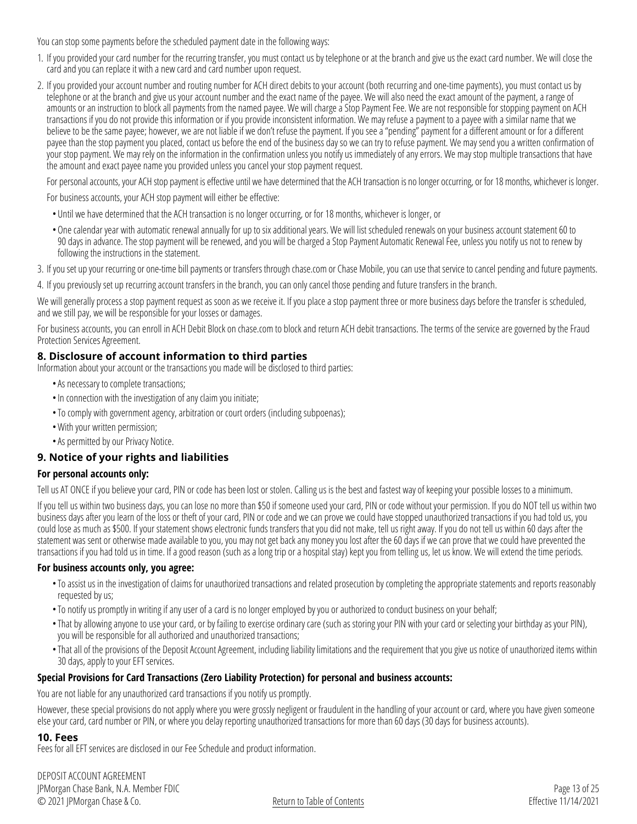You can stop some payments before the scheduled payment date in the following ways:

- 1. If you provided your card number for the recurring transfer, you must contact us by telephone or at the branch and give us the exact card number. We will close the card and you can replace it with a new card and card number upon request.
- 2. If you provided your account number and routing number for ACH direct debits to your account (both recurring and one-time payments), you must contact us by telephone or at the branch and give us your account number and the exact name of the payee. We will also need the exact amount of the payment, a range of amounts or an instruction to block all payments from the named payee. We will charge a Stop Payment Fee. We are not responsible for stopping payment on ACH transactions if you do not provide this information or if you provide inconsistent information. We may refuse a payment to a payee with a similar name that we believe to be the same payee; however, we are not liable if we don't refuse the payment. If you see a "pending" payment for a different amount or for a different payee than the stop payment you placed, contact us before the end of the business day so we can try to refuse payment. We may send you a written confirmation of your stop payment. We may rely on the information in the confirmation unless you notify us immediately of any errors. We may stop multiple transactions that have the amount and exact payee name you provided unless you cancel your stop payment request.

For personal accounts, your ACH stop payment is effective until we have determined that the ACH transaction is no longer occurring, or for 18 months, whichever is longer.

For business accounts, your ACH stop payment will either be effective:

- Until we have determined that the ACH transaction is no longer occurring, or for 18 months, whichever is longer, or
- •One calendar year with automatic renewal annually for up to six additional years. We will list scheduled renewals on your business account statement 60 to 90 days in advance. The stop payment will be renewed, and you will be charged a Stop Payment Automatic Renewal Fee, unless you notify us not to renew by following the instructions in the statement.

3. If you set up your recurring or one-time bill payments or transfers through [chase.com](https://www.chase.com) or Chase Mobile, you can use that service to cancel pending and future payments.

4. If you previously set up recurring account transfers in the branch, you can only cancel those pending and future transfers in the branch.

We will generally process a stop payment request as soon as we receive it. If you place a stop payment three or more business days before the transfer is scheduled, and we still pay, we will be responsible for your losses or damages.

For business accounts, you can enroll in ACH Debit Block on [chase.com](https://www.chase.com) to block and return ACH debit transactions. The terms of the service are governed by the Fraud Protection Services Agreement.

#### <span id="page-12-0"></span>**8. Disclosure of account information to third parties**

Information about your account or the transactions you made will be disclosed to third parties:

- •As necessary to complete transactions;
- •In connection with the investigation of any claim you initiate;
- •To comply with government agency, arbitration or court orders (including subpoenas);
- •With your written permission;
- •As permitted by our Privacy Notice.

#### <span id="page-12-1"></span>**9. Notice of your rights and liabilities**

#### **For personal accounts only:**

Tell us AT ONCE if you believe your card, PIN or code has been lost or stolen. Calling us is the best and fastest way of keeping your possible losses to a minimum.

If you tell us within two business days, you can lose no more than \$50 if someone used your card, PIN or code without your permission. If you do NOT tell us within two business days after you learn of the loss or theft of your card, PIN or code and we can prove we could have stopped unauthorized transactions if you had told us, you could lose as much as \$500. If your statement shows electronic funds transfers that you did not make, tell us right away. If you do not tell us within 60 days after the statement was sent or otherwise made available to you, you may not get back any money you lost after the 60 days if we can prove that we could have prevented the transactions if you had told us in time. If a good reason (such as a long trip or a hospital stay) kept you from telling us, let us know. We will extend the time periods.

#### **For business accounts only, you agree:**

- •To assist us in the investigation of claims for unauthorized transactions and related prosecution by completing the appropriate statements and reports reasonably requested by us;
- •To notify us promptly in writing if any user of a card is no longer employed by you or authorized to conduct business on your behalf;
- That by allowing anyone to use your card, or by failing to exercise ordinary care (such as storing your PIN with your card or selecting your birthday as your PIN), you will be responsible for all authorized and unauthorized transactions;
- •That all of the provisions of the Deposit Account Agreement, including liability limitations and the requirement that you give us notice of unauthorized items within 30 days, apply to your EFT services.

#### **Special Provisions for Card Transactions (Zero Liability Protection) for personal and business accounts:**

You are not liable for any unauthorized card transactions if you notify us promptly.

However, these special provisions do not apply where you were grossly negligent or fraudulent in the handling of your account or card, where you have given someone else your card, card number or PIN, or where you delay reporting unauthorized transactions for more than 60 days (30 days for business accounts).

#### <span id="page-12-2"></span>**10. Fees**

Fees for all EFT services are disclosed in our Fee Schedule and product information.

DEPOSIT ACCOUNT AGREEMENT JPMorgan Chase Bank, N.A. Member FDIC © 2021 JPMorgan Chase & Co.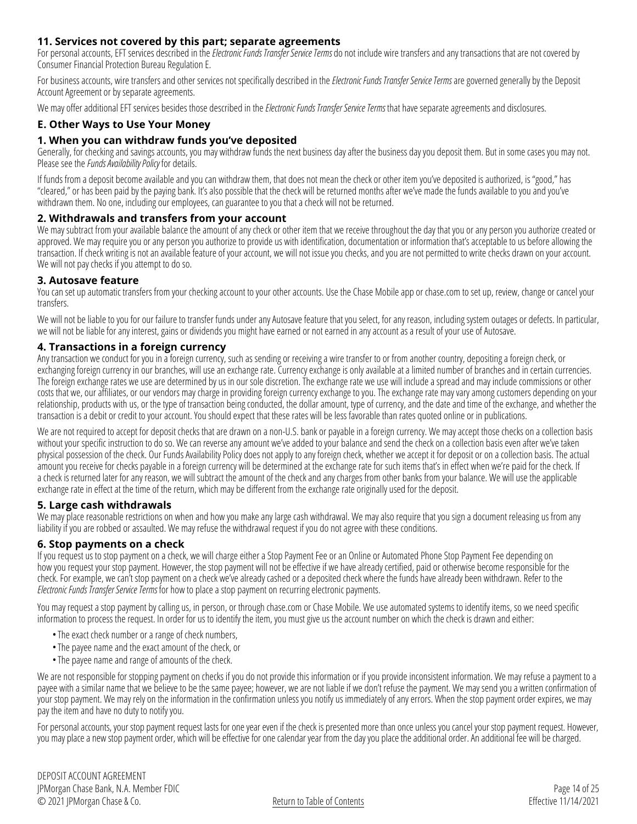#### <span id="page-13-0"></span>**11. Services not covered by this part; separate agreements**

For personal accounts, EFT services described in the *[Electronic Funds Transfer Service Terms](#page-9-0)* do not include wire transfers and any transactions that are not covered by Consumer Financial Protection Bureau Regulation E.

For business accounts, wire transfers and other services not specifically described in the *[Electronic Funds Transfer Service Terms](#page-9-0)* are governed generally by the Deposit Account Agreement or by separate agreements.

We may offer additional EFT services besides those described in the *[Electronic Funds Transfer Service Terms](#page-9-0)* that have separate agreements and disclosures.

#### <span id="page-13-1"></span>**E. Other Ways to Use Your Money**

#### **1. When you can withdraw funds you've deposited**

Generally, for checking and savings accounts, you may withdraw funds the next business day after the business day you deposit them. But in some cases you may not. Please see the *Funds Availability Policy* for details.

If funds from a deposit become available and you can withdraw them, that does not mean the check or other item you've deposited is authorized, is "good," has "cleared," or has been paid by the paying bank. It's also possible that the check will be returned months after we've made the funds available to you and you've withdrawn them. No one, including our employees, can guarantee to you that a check will not be returned.

#### <span id="page-13-2"></span>**2. Withdrawals and transfers from your account**

We may subtract from your available balance the amount of any check or other item that we receive throughout the day that you or any person you authorize created or approved. We may require you or any person you authorize to provide us with identification, documentation or information that's acceptable to us before allowing the transaction. If check writing is not an available feature of your account, we will not issue you checks, and you are not permitted to write checks drawn on your account. We will not pay checks if you attempt to do so.

#### <span id="page-13-3"></span>**3. Autosave feature**

You can set up automatic transfers from your checking account to your other accounts. Use the Chase Mobile app or [chase.com](https://www.chase.com) to set up, review, change or cancel your transfers.

We will not be liable to you for our failure to transfer funds under any Autosave feature that you select, for any reason, including system outages or defects. In particular, we will not be liable for any interest, gains or dividends you might have earned or not earned in any account as a result of your use of Autosave.

#### <span id="page-13-4"></span>**4. Transactions in a foreign currency**

Any transaction we conduct for you in a foreign currency, such as sending or receiving a wire transfer to or from another country, depositing a foreign check, or exchanging foreign currency in our branches, will use an exchange rate. Currency exchange is only available at a limited number of branches and in certain currencies. The foreign exchange rates we use are determined by us in our sole discretion. The exchange rate we use will include a spread and may include commissions or other costs that we, our affiliates, or our vendors may charge in providing foreign currency exchange to you. The exchange rate may vary among customers depending on your relationship, products with us, or the type of transaction being conducted, the dollar amount, type of currency, and the date and time of the exchange, and whether the transaction is a debit or credit to your account. You should expect that these rates will be less favorable than rates quoted online or in publications.

We are not required to accept for deposit checks that are drawn on a non-U.S. bank or payable in a foreign currency. We may accept those checks on a collection basis without your specific instruction to do so. We can reverse any amount we've added to your balance and send the check on a collection basis even after we've taken physical possession of the check. Our Funds Availability Policy does not apply to any foreign check, whether we accept it for deposit or on a collection basis. The actual amount you receive for checks payable in a foreign currency will be determined at the exchange rate for such items that's in effect when we're paid for the check. If a check is returned later for any reason, we will subtract the amount of the check and any charges from other banks from your balance. We will use the applicable exchange rate in effect at the time of the return, which may be different from the exchange rate originally used for the deposit.

#### <span id="page-13-5"></span>**5. Large cash withdrawals**

We may place reasonable restrictions on when and how you make any large cash withdrawal. We may also require that you sign a document releasing us from any liability if you are robbed or assaulted. We may refuse the withdrawal request if you do not agree with these conditions.

#### <span id="page-13-6"></span>**6. Stop payments on a check**

If you request us to stop payment on a check, we will charge either a Stop Payment Fee or an Online or Automated Phone Stop Payment Fee depending on how you request your stop payment. However, the stop payment will not be effective if we have already certified, paid or otherwise become responsible for the check. For example, we can't stop payment on a check we've already cashed or a deposited check where the funds have already been withdrawn. Refer to the *[Electronic Funds Transfer Service Terms](#page-9-0)* for how to place a stop payment on recurring electronic payments.

You may request a stop payment by calling us, in person, or through [chase.com](https://www.chase.com) or Chase Mobile. We use automated systems to identify items, so we need specific information to process the request. In order for us to identify the item, you must give us the account number on which the check is drawn and either:

- •The exact check number or a range of check numbers,
- •The payee name and the exact amount of the check, or
- •The payee name and range of amounts of the check.

We are not responsible for stopping payment on checks if you do not provide this information or if you provide inconsistent information. We may refuse a payment to a payee with a similar name that we believe to be the same payee; however, we are not liable if we don't refuse the payment. We may send you a written confirmation of your stop payment. We may rely on the information in the confirmation unless you notify us immediately of any errors. When the stop payment order expires, we may pay the item and have no duty to notify you.

For personal accounts, your stop payment request lasts for one year even if the check is presented more than once unless you cancel your stop payment request. However, you may place a new stop payment order, which will be effective for one calendar year from the day you place the additional order. An additional fee will be charged.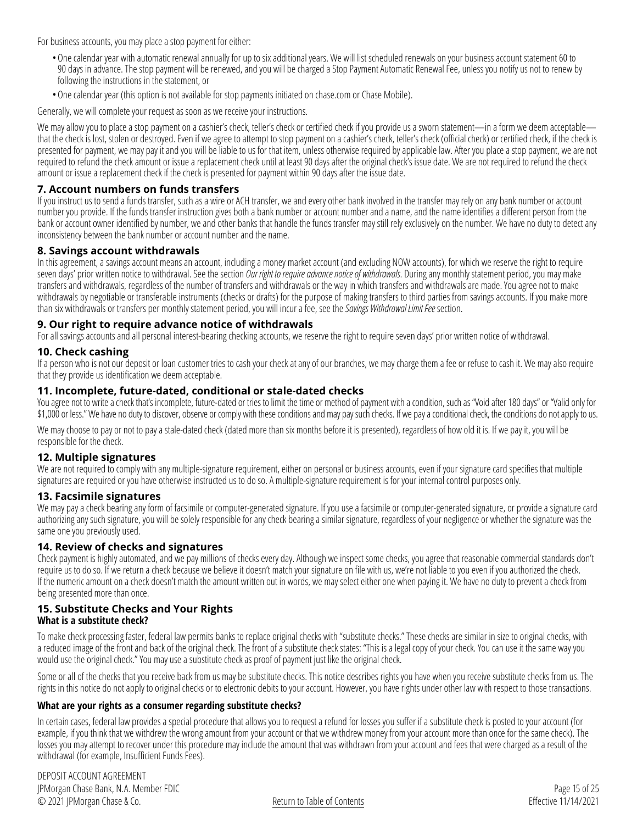For business accounts, you may place a stop payment for either:

- •One calendar year with automatic renewal annually for up to six additional years. We will list scheduled renewals on your business account statement 60 to 90 days in advance. The stop payment will be renewed, and you will be charged a Stop Payment Automatic Renewal Fee, unless you notify us not to renew by following the instructions in the statement, or
- •One calendar year (this option is not available for stop payments initiated on [chase.com](https://www.chase.com) or Chase Mobile).

Generally, we will complete your request as soon as we receive your instructions.

We may allow you to place a stop payment on a cashier's check, teller's check or certified check if you provide us a sworn statement—in a form we deem acceptable that the check is lost, stolen or destroyed. Even if we agree to attempt to stop payment on a cashier's check, teller's check (official check) or certified check, if the check is presented for payment, we may pay it and you will be liable to us for that item, unless otherwise required by applicable law. After you place a stop payment, we are not required to refund the check amount or issue a replacement check until at least 90 days after the original check's issue date. We are not required to refund the check amount or issue a replacement check if the check is presented for payment within 90 days after the issue date.

#### <span id="page-14-0"></span>**7. Account numbers on funds transfers**

If you instruct us to send a funds transfer, such as a wire or ACH transfer, we and every other bank involved in the transfer may rely on any bank number or account number you provide. If the funds transfer instruction gives both a bank number or account number and a name, and the name identifies a different person from the bank or account owner identified by number, we and other banks that handle the funds transfer may still rely exclusively on the number. We have no duty to detect any inconsistency between the bank number or account number and the name.

#### <span id="page-14-1"></span>**8. Savings account withdrawals**

In this agreement, a savings account means an account, including a money market account (and excluding NOW accounts), for which we reserve the right to require seven days' prior written notice to withdrawal. See the section *[Our right to require advance notice of withdrawals](#page-14-2)*. During any monthly statement period, you may make transfers and withdrawals, regardless of the number of transfers and withdrawals or the way in which transfers and withdrawals are made. You agree not to make withdrawals by negotiable or transferable instruments (checks or drafts) for the purpose of making transfers to third parties from savings accounts. If you make more than six withdrawals or transfers per monthly statement period, you will incur a fee, see the *[Savings Withdrawal Limit Fee](#page-18-3)* section.

#### <span id="page-14-2"></span>**9. Our right to require advance notice of withdrawals**

For all savings accounts and all personal interest-bearing checking accounts, we reserve the right to require seven days' prior written notice of withdrawal.

#### <span id="page-14-3"></span>**10. Check cashing**

If a person who is not our deposit or loan customer tries to cash your check at any of our branches, we may charge them a fee or refuse to cash it. We may also require that they provide us identification we deem acceptable.

#### <span id="page-14-4"></span>**11. Incomplete, future-dated, conditional or stale-dated checks**

You agree not to write a check that's incomplete, future-dated or tries to limit the time or method of payment with a condition, such as "Void after 180 days" or "Valid only for \$1,000 or less." We have no duty to discover, observe or comply with these conditions and may pay such checks. If we pay a conditional check, the conditions do not apply to us.

We may choose to pay or not to pay a stale-dated check (dated more than six months before it is presented), regardless of how old it is. If we pay it, you will be responsible for the check.

#### <span id="page-14-5"></span>**12. Multiple signatures**

We are not required to comply with any multiple-signature requirement, either on personal or business accounts, even if your signature card specifies that multiple signatures are required or you have otherwise instructed us to do so. A multiple-signature requirement is for your internal control purposes only.

#### <span id="page-14-6"></span>**13. Facsimile signatures**

We may pay a check bearing any form of facsimile or computer-generated signature. If you use a facsimile or computer-generated signature, or provide a signature card authorizing any such signature, you will be solely responsible for any check bearing a similar signature, regardless of your negligence or whether the signature was the same one you previously used.

#### <span id="page-14-7"></span>**14. Review of checks and signatures**

Check payment is highly automated, and we pay millions of checks every day. Although we inspect some checks, you agree that reasonable commercial standards don't require us to do so. If we return a check because we believe it doesn't match your signature on file with us, we're not liable to you even if you authorized the check. If the numeric amount on a check doesn't match the amount written out in words, we may select either one when paying it. We have no duty to prevent a check from being presented more than once.

#### <span id="page-14-8"></span>**15. Substitute Checks and Your Rights What is a substitute check?**

To make check processing faster, federal law permits banks to replace original checks with "substitute checks." These checks are similar in size to original checks, with a reduced image of the front and back of the original check. The front of a substitute check states: "This is a legal copy of your check. You can use it the same way you would use the original check." You may use a substitute check as proof of payment just like the original check.

Some or all of the checks that you receive back from us may be substitute checks. This notice describes rights you have when you receive substitute checks from us. The rights in this notice do not apply to original checks or to electronic debits to your account. However, you have rights under other law with respect to those transactions.

#### **What are your rights as a consumer regarding substitute checks?**

In certain cases, federal law provides a special procedure that allows you to request a refund for losses you suffer if a substitute check is posted to your account (for example, if you think that we withdrew the wrong amount from your account or that we withdrew money from your account more than once for the same check). The losses you may attempt to recover under this procedure may include the amount that was withdrawn from your account and fees that were charged as a result of the withdrawal (for example, Insufficient Funds Fees).

DEPOSIT ACCOUNT AGREEMENT JPMorgan Chase Bank, N.A. Member FDIC © 2021 JPMorgan Chase & Co.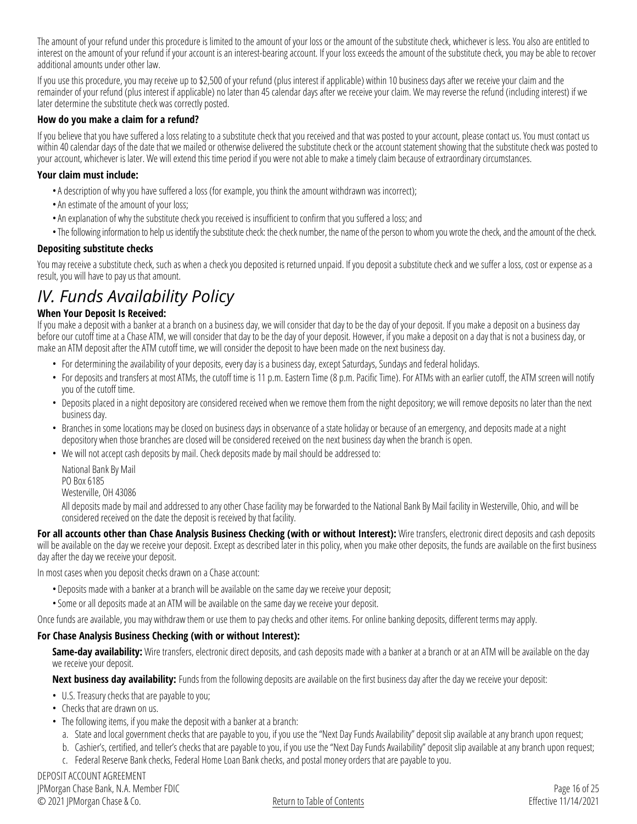The amount of your refund under this procedure is limited to the amount of your loss or the amount of the substitute check, whichever is less. You also are entitled to interest on the amount of your refund if your account is an interest-bearing account. If your loss exceeds the amount of the substitute check, you may be able to recover additional amounts under other law.

If you use this procedure, you may receive up to \$2,500 of your refund (plus interest if applicable) within 10 business days after we receive your claim and the remainder of your refund (plus interest if applicable) no later than 45 calendar days after we receive your claim. We may reverse the refund (including interest) if we later determine the substitute check was correctly posted.

#### **How do you make a claim for a refund?**

If you believe that you have suffered a loss relating to a substitute check that you received and that was posted to your account, please contact us. You must contact us within 40 calendar days of the date that we mailed or otherwise delivered the substitute check or the account statement showing that the substitute check was posted to your account, whichever is later. We will extend this time period if you were not able to make a timely claim because of extraordinary circumstances.

#### **Your claim must include:**

- •A description of why you have suffered a loss (for example, you think the amount withdrawn was incorrect);
- •An estimate of the amount of your loss;
- •An explanation of why the substitute check you received is insufficient to confirm that you suffered a loss; and
- •The following information to help us identify the substitute check: the check number, the name of the person to whom you wrote the check, and the amount of the check.

#### **Depositing substitute checks**

You may receive a substitute check, such as when a check you deposited is returned unpaid. If you deposit a substitute check and we suffer a loss, cost or expense as a result, you will have to pay us that amount.

### *IV. Funds Availability Policy*

#### **When Your Deposit Is Received:**

If you make a deposit with a banker at a branch on a business day, we will consider that day to be the day of your deposit. If you make a deposit on a business day before our cutoff time at a Chase ATM, we will consider that day to be the day of your deposit. However, if you make a deposit on a day that is not a business day, or make an ATM deposit after the ATM cutoff time, we will consider the deposit to have been made on the next business day.

- For determining the availability of your deposits, every day is a business day, except Saturdays, Sundays and federal holidays.
- For deposits and transfers at most ATMs, the cutoff time is 11 p.m. Eastern Time (8 p.m. Pacific Time). For ATMs with an earlier cutoff, the ATM screen will notify you of the cutoff time.
- Deposits placed in a night depository are considered received when we remove them from the night depository; we will remove deposits no later than the next business day.
- Branches in some locations may be closed on business days in observance of a state holiday or because of an emergency, and deposits made at a night depository when those branches are closed will be considered received on the next business day when the branch is open.
- We will not accept cash deposits by mail. Check deposits made by mail should be addressed to:

National Bank By Mail PO Box 6185 Westerville, OH 43086

All deposits made by mail and addressed to any other Chase facility may be forwarded to the National Bank By Mail facility in Westerville, Ohio, and will be considered received on the date the deposit is received by that facility.

**For all accounts other than Chase Analysis Business Checking (with or without Interest):** Wire transfers, electronic direct deposits and cash deposits will be available on the day we receive your deposit. Except as described later in this policy, when you make other deposits, the funds are available on the first business day after the day we receive your deposit.

In most cases when you deposit checks drawn on a Chase account:

- Deposits made with a banker at a branch will be available on the same day we receive your deposit;
- •Some or all deposits made at an ATM will be available on the same day we receive your deposit.

Once funds are available, you may withdraw them or use them to pay checks and other items. For online banking deposits, different terms may apply.

#### **For Chase Analysis Business Checking (with or without Interest):**

**Same-day availability:** Wire transfers, electronic direct deposits, and cash deposits made with a banker at a branch or at an ATM will be available on the day we receive your deposit.

**Next business day availability:** Funds from the following deposits are available on the first business day after the day we receive your deposit:

- U.S. Treasury checks that are payable to you;
- Checks that are drawn on us.
- The following items, if you make the deposit with a banker at a branch:
	- a. State and local government checks that are payable to you, if you use the "Next Day Funds Availability" deposit slip available at any branch upon request;
	- b. Cashier's, certified, and teller's checks that are payable to you, if you use the "Next Day Funds Availability" deposit slip available at any branch upon request;
	- c. Federal Reserve Bank checks, Federal Home Loan Bank checks, and postal money orders that are payable to you.

DEPOSIT ACCOUNT AGREEMENT JPMorgan Chase Bank, N.A. Member FDIC © 2021 JPMorgan Chase & Co.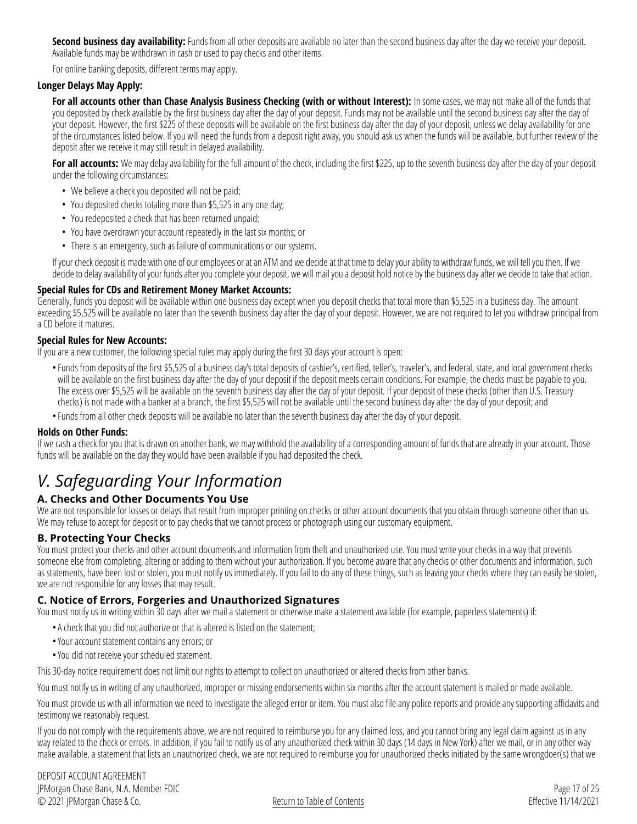**Second business day availability:** Funds from all other deposits are available no later than the second business day after the day we receive your deposit. Available funds may be withdrawn in cash or used to pay checks and other items.

For online banking deposits, different terms may apply.

#### **Longer Delays May Apply:**

For all accounts other than Chase Analysis Business Checking (with or without Interest): In some cases, we may not make all of the funds that you deposited by check available by the first business day after the day of your deposit. Funds may not be available until the second business day after the day of your deposit. However, the first \$225 of these deposits will be available on the first business day after the day of your deposit, unless we delay availability for one of the circumstances listed below. If you will need the funds from a deposit right away, you should ask us when the funds will be available, but further review of the deposit after we receive it may still result in delayed availability.

For all accounts: We may delay availability for the full amount of the check, including the first \$225, up to the seventh business day after the day of your deposit under the following circumstances:

- We believe a check you deposited will not be paid;
- You deposited checks totaling more than \$5,525 in any one day;
- You redeposited a check that has been returned unpaid;
- You have overdrawn your account repeatedly in the last six months; or
- There is an emergency, such as failure of communications or our systems.

If your check deposit is made with one of our employees or at an ATM and we decide at that time to delay your ability to withdraw funds, we will tell you then. If we decide to delay availability of your funds after you complete your deposit, we will mail you a deposit hold notice by the business day after we decide to take that action.

#### **Special Rules for CDs and Retirement Money Market Accounts:**

Generally, funds you deposit will be available within one business day except when you deposit checks that total more than \$5,525 in a business day. The amount exceeding \$5,525 will be available no later than the seventh business day after the day of your deposit. However, we are not required to let you withdraw principal from a CD before it matures.

#### **Special Rules for New Accounts:**

If you are a new customer, the following special rules may apply during the first 30 days your account is open:

- •Funds from deposits of the first \$5,525 of a business day's total deposits of cashier's, certified, teller's, traveler's, and federal, state, and local government checks will be available on the first business day after the day of your deposit if the deposit meets certain conditions. For example, the checks must be payable to you. The excess over \$5,525 will be available on the seventh business day after the day of your deposit. If your deposit of these checks (other than U.S. Treasury checks) is not made with a banker at a branch, the first \$5,525 will not be available until the second business day after the day of your deposit; and
- •Funds from all other check deposits will be available no later than the seventh business day after the day of your deposit.

#### **Holds on Other Funds:**

If we cash a check for you that is drawn on another bank, we may withhold the availability of a corresponding amount of funds that are already in your account. Those funds will be available on the day they would have been available if you had deposited the check.

### *V. Safeguarding Your Information*

#### <span id="page-16-0"></span>**A. Checks and Other Documents You Use**

We are not responsible for losses or delays that result from improper printing on checks or other account documents that you obtain through someone other than us. We may refuse to accept for deposit or to pay checks that we cannot process or photograph using our customary equipment.

#### <span id="page-16-1"></span>**B. Protecting Your Checks**

You must protect your checks and other account documents and information from theft and unauthorized use. You must write your checks in a way that prevents someone else from completing, altering or adding to them without your authorization. If you become aware that any checks or other documents and information, such as statements, have been lost or stolen, you must notify us immediately. If you fail to do any of these things, such as leaving your checks where they can easily be stolen, we are not responsible for any losses that may result.

#### <span id="page-16-2"></span>**C. Notice of Errors, Forgeries and Unauthorized Signatures**

You must notify us in writing within 30 days after we mail a statement or otherwise make a statement available (for example, paperless statements) if:

- •A check that you did not authorize or that is altered is listed on the statement;
- •Your account statement contains any errors; or
- •You did not receive your scheduled statement.

This 30-day notice requirement does not limit our rights to attempt to collect on unauthorized or altered checks from other banks.

You must notify us in writing of any unauthorized, improper or missing endorsements within six months after the account statement is mailed or made available.

You must provide us with all information we need to investigate the alleged error or item. You must also file any police reports and provide any supporting affidavits and testimony we reasonably request.

If you do not comply with the requirements above, we are not required to reimburse you for any claimed loss, and you cannot bring any legal claim against us in any way related to the check or errors. In addition, if you fail to notify us of any unauthorized check within 30 days (14 days in New York) after we mail, or in any other way make available, a statement that lists an unauthorized check, we are not required to reimburse you for unauthorized checks initiated by the same wrongdoer(s) that we

DEPOSIT ACCOUNT AGREEMENT JPMorgan Chase Bank, N.A. Member FDIC © 2021 JPMorgan Chase & Co.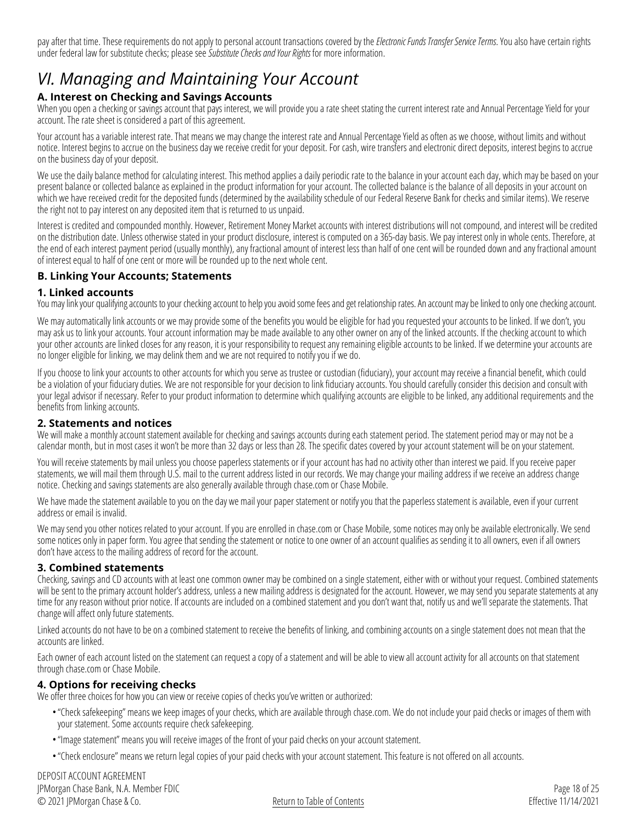pay after that time. These requirements do not apply to personal account transactions covered by the *[Electronic Funds Transfer Service Terms](#page-9-0)*. You also have certain rights under federal law for substitute checks; please see *[Substitute Checks and Your Rights](#page-14-8)* for more information.

### *VI. Managing and Maintaining Your Account*

#### <span id="page-17-0"></span>**A. Interest on Checking and Savings Accounts**

When you open a checking or savings account that pays interest, we will provide you a rate sheet stating the current interest rate and Annual Percentage Yield for your account. The rate sheet is considered a part of this agreement.

Your account has a variable interest rate. That means we may change the interest rate and Annual Percentage Yield as often as we choose, without limits and without notice. Interest begins to accrue on the business day we receive credit for your deposit. For cash, wire transfers and electronic direct deposits, interest begins to accrue on the business day of your deposit.

We use the daily balance method for calculating interest. This method applies a daily periodic rate to the balance in your account each day, which may be based on your present balance or collected balance as explained in the product information for your account. The collected balance is the balance of all deposits in your account on which we have received credit for the deposited funds (determined by the availability schedule of our Federal Reserve Bank for checks and similar items). We reserve the right not to pay interest on any deposited item that is returned to us unpaid.

Interest is credited and compounded monthly. However, Retirement Money Market accounts with interest distributions will not compound, and interest will be credited on the distribution date. Unless otherwise stated in your product disclosure, interest is computed on a 365-day basis. We pay interest only in whole cents. Therefore, at the end of each interest payment period (usually monthly), any fractional amount of interest less than half of one cent will be rounded down and any fractional amount of interest equal to half of one cent or more will be rounded up to the next whole cent.

#### <span id="page-17-1"></span>**B. Linking Your Accounts; Statements**

#### <span id="page-17-2"></span>**1. Linked accounts**

You may link your qualifying accounts to your checking account to help you avoid some fees and get relationship rates. An account may be linked to only one checking account.

We may automatically link accounts or we may provide some of the benefits you would be eligible for had you requested your accounts to be linked. If we don't, you may ask us to link your accounts. Your account information may be made available to any other owner on any of the linked accounts. If the checking account to which your other accounts are linked closes for any reason, it is your responsibility to request any remaining eligible accounts to be linked. If we determine your accounts are no longer eligible for linking, we may delink them and we are not required to notify you if we do.

If you choose to link your accounts to other accounts for which you serve as trustee or custodian (fiduciary), your account may receive a financial benefit, which could be a violation of your fiduciary duties. We are not responsible for your decision to link fiduciary accounts. You should carefully consider this decision and consult with your legal advisor if necessary. Refer to your product information to determine which qualifying accounts are eligible to be linked, any additional requirements and the benefits from linking accounts.

#### <span id="page-17-3"></span>**2. Statements and notices**

We will make a monthly account statement available for checking and savings accounts during each statement period. The statement period may or may not be a calendar month, but in most cases it won't be more than 32 days or less than 28. The specific dates covered by your account statement will be on your statement.

You will receive statements by mail unless you choose paperless statements or if your account has had no activity other than interest we paid. If you receive paper statements, we will mail them through U.S. mail to the current address listed in our records. We may change your mailing address if we receive an address change notice. Checking and savings statements are also generally available through [chase.com](https://www.chase.com) or Chase Mobile.

We have made the statement available to you on the day we mail your paper statement or notify you that the paperless statement is available, even if your current address or email is invalid.

We may send you other notices related to your account. If you are enrolled in [chase.com](https://www.chase.com) or Chase Mobile, some notices may only be available electronically. We send some notices only in paper form. You agree that sending the statement or notice to one owner of an account qualifies as sending it to all owners, even if all owners don't have access to the mailing address of record for the account.

#### <span id="page-17-4"></span>**3. Combined statements**

Checking, savings and CD accounts with at least one common owner may be combined on a single statement, either with or without your request. Combined statements will be sent to the primary account holder's address, unless a new mailing address is designated for the account. However, we may send you separate statements at any time for any reason without prior notice. If accounts are included on a combined statement and you don't want that, notify us and we'll separate the statements. That change will affect only future statements.

Linked accounts do not have to be on a combined statement to receive the benefits of linking, and combining accounts on a single statement does not mean that the accounts are linked.

Each owner of each account listed on the statement can request a copy of a statement and will be able to view all account activity for all accounts on that statement through [chase.com](https://www.chase.com) or Chase Mobile.

#### <span id="page-17-5"></span>**4. Options for receiving checks**

We offer three choices for how you can view or receive copies of checks you've written or authorized:

- •"Check safekeeping" means we keep images of your checks, which are available through [chase.com.](https://www.chase.com) We do not include your paid checks or images of them with your statement. Some accounts require check safekeeping.
- •"Image statement" means you will receive images of the front of your paid checks on your account statement.
- •"Check enclosure" means we return legal copies of your paid checks with your account statement. This feature is not offered on all accounts.

DEPOSIT ACCOUNT AGREEMENT JPMorgan Chase Bank, N.A. Member FDIC © 2021 JPMorgan Chase & Co.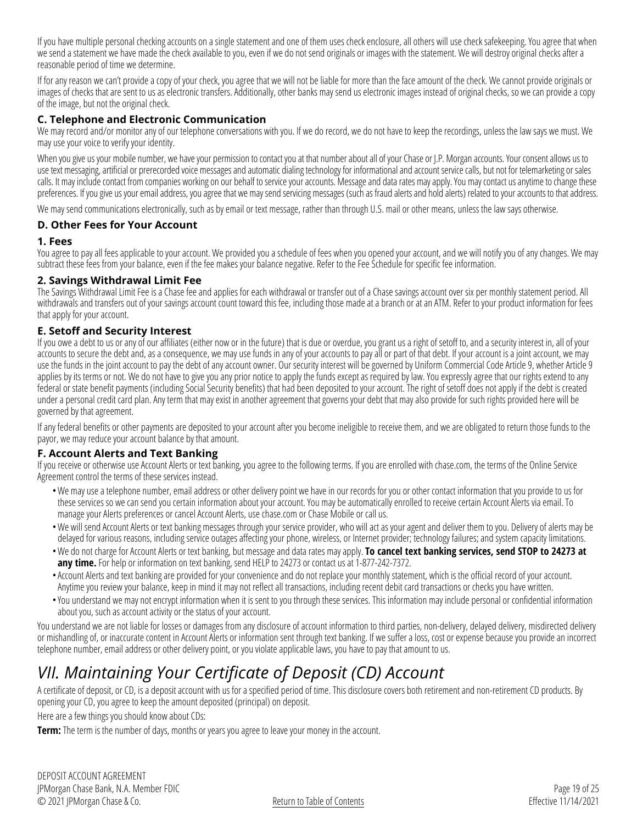If you have multiple personal checking accounts on a single statement and one of them uses check enclosure, all others will use check safekeeping. You agree that when we send a statement we have made the check available to you, even if we do not send originals or images with the statement. We will destroy original checks after a reasonable period of time we determine.

If for any reason we can't provide a copy of your check, you agree that we will not be liable for more than the face amount of the check. We cannot provide originals or images of checks that are sent to us as electronic transfers. Additionally, other banks may send us electronic images instead of original checks, so we can provide a copy of the image, but not the original check.

#### <span id="page-18-0"></span>**C. Telephone and Electronic Communication**

We may record and/or monitor any of our telephone conversations with you. If we do record, we do not have to keep the recordings, unless the law says we must. We may use your voice to verify your identity.

When you give us your mobile number, we have your permission to contact you at that number about all of your Chase or J.P. Morgan accounts. Your consent allows us to use text messaging, artificial or prerecorded voice messages and automatic dialing technology for informational and account service calls, but not for telemarketing or sales calls. It may include contact from companies working on our behalf to service your accounts. Message and data rates may apply. You may contact us anytime to change these preferences. If you give us your email address, you agree that we may send servicing messages (such as fraud alerts and hold alerts) related to your accounts to that address.

We may send communications electronically, such as by email or text message, rather than through U.S. mail or other means, unless the law says otherwise.

#### <span id="page-18-1"></span>**D. Other Fees for Your Account**

#### <span id="page-18-2"></span>**1. Fees**

You agree to pay all fees applicable to your account. We provided you a schedule of fees when you opened your account, and we will notify you of any changes. We may subtract these fees from your balance, even if the fee makes your balance negative. Refer to the Fee Schedule for specific fee information.

#### <span id="page-18-3"></span>**2. Savings Withdrawal Limit Fee**

The Savings Withdrawal Limit Fee is a Chase fee and applies for each withdrawal or transfer out of a Chase savings account over six per monthly statement period. All withdrawals and transfers out of your savings account count toward this fee, including those made at a branch or at an ATM. Refer to your product information for fees that apply for your account.

#### **E. Setoff and Security Interest**

If you owe a debt to us or any of our affiliates (either now or in the future) that is due or overdue, you grant us a right of setoff to, and a security interest in, all of your accounts to secure the debt and, as a consequence, we may use funds in any of your accounts to pay all or part of that debt. If your account is a joint account, we may use the funds in the joint account to pay the debt of any account owner. Our security interest will be governed by Uniform Commercial Code Article 9, whether Article 9 applies by its terms or not. We do not have to give you any prior notice to apply the funds except as required by law. You expressly agree that our rights extend to any federal or state benefit payments (including Social Security benefits) that had been deposited to your account. The right of setoff does not apply if the debt is created under a personal credit card plan. Any term that may exist in another agreement that governs your debt that may also provide for such rights provided here will be governed by that agreement.

If any federal benefits or other payments are deposited to your account after you become ineligible to receive them, and we are obligated to return those funds to the payor, we may reduce your account balance by that amount.

#### **F. Account Alerts and Text Banking**

If you receive or otherwise use Account Alerts or text banking, you agree to the following terms. If you are enrolled with [chase.com](https://www.chase.com), the terms of the Online Service Agreement control the terms of these services instead.

- •We may use a telephone number, email address or other delivery point we have in our records for you or other contact information that you provide to us for these services so we can send you certain information about your account. You may be automatically enrolled to receive certain Account Alerts via email. To manage your Alerts preferences or cancel Account Alerts, use [chase.com](https://www.chase.com) or Chase Mobile or call us.
- •We will send Account Alerts or text banking messages through your service provider, who will act as your agent and deliver them to you. Delivery of alerts may be delayed for various reasons, including service outages affecting your phone, wireless, or Internet provider; technology failures; and system capacity limitations.
- •We do not charge for Account Alerts or text banking, but message and data rates may apply. **To cancel text banking services, send STOP to 24273 at any time.** For help or information on text banking, send HELP to 24273 or contact us at 1-877-242-7372.
- •Account Alerts and text banking are provided for your convenience and do not replace your monthly statement, which is the official record of your account. Anytime you review your balance, keep in mind it may not reflect all transactions, including recent debit card transactions or checks you have written.
- •You understand we may not encrypt information when it is sent to you through these services. This information may include personal or confidential information about you, such as account activity or the status of your account.

You understand we are not liable for losses or damages from any disclosure of account information to third parties, non-delivery, delayed delivery, misdirected delivery or mishandling of, or inaccurate content in Account Alerts or information sent through text banking. If we suffer a loss, cost or expense because you provide an incorrect telephone number, email address or other delivery point, or you violate applicable laws, you have to pay that amount to us.

### *VII. Maintaining Your Certificate of Deposit (CD) Account*

A certificate of deposit, or CD, is a deposit account with us for a specified period of time. This disclosure covers both retirement and non-retirement CD products. By opening your CD, you agree to keep the amount deposited (principal) on deposit.

Here are a few things you should know about CDs:

**Term:** The term is the number of days, months or years you agree to leave your money in the account.

DEPOSIT ACCOUNT AGREEMENT JPMorgan Chase Bank, N.A. Member FDIC © 2021 JPMorgan Chase & Co.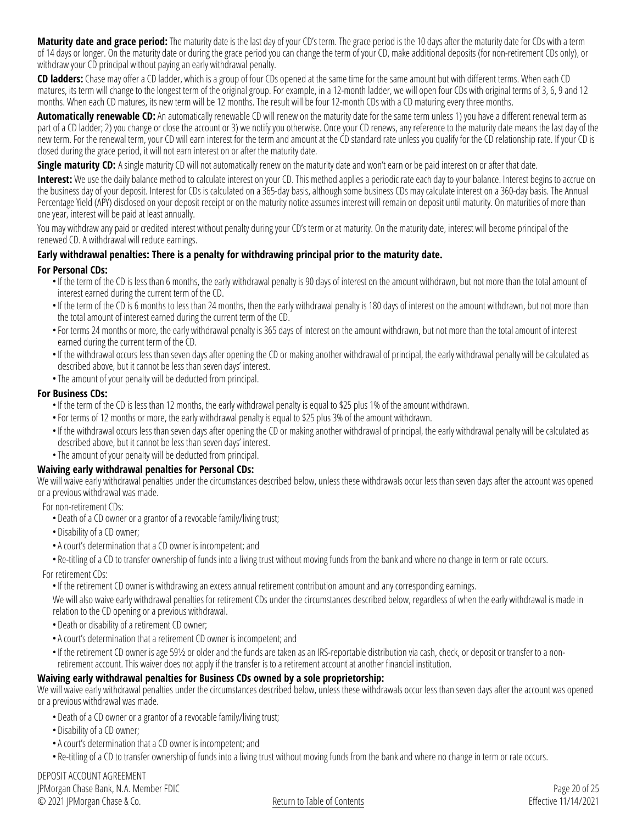**Maturity date and grace period:** The maturity date is the last day of your CD's term. The grace period is the 10 days after the maturity date for CDs with a term of 14 days or longer. On the maturity date or during the grace period you can change the term of your CD, make additional deposits (for non-retirement CDs only), or withdraw your CD principal without paying an early withdrawal penalty.

**CD ladders:** Chase may offer a CD ladder, which is a group of four CDs opened at the same time for the same amount but with different terms. When each CD matures, its term will change to the longest term of the original group. For example, in a 12-month ladder, we will open four CDs with original terms of 3, 6, 9 and 12 months. When each CD matures, its new term will be 12 months. The result will be four 12-month CDs with a CD maturing every three months.

**Automatically renewable CD:** An automatically renewable CD will renew on the maturity date for the same term unless 1) you have a different renewal term as part of a CD ladder; 2) you change or close the account or 3) we notify you otherwise. Once your CD renews, any reference to the maturity date means the last day of the new term. For the renewal term, your CD will earn interest for the term and amount at the CD standard rate unless you qualify for the CD relationship rate. If your CD is closed during the grace period, it will not earn interest on or after the maturity date.

**Single maturity CD:** A single maturity CD will not automatically renew on the maturity date and won't earn or be paid interest on or after that date.

Interest: We use the daily balance method to calculate interest on your CD. This method applies a periodic rate each day to your balance. Interest begins to accrue on the business day of your deposit. Interest for CDs is calculated on a 365-day basis, although some business CDs may calculate interest on a 360-day basis. The Annual Percentage Yield (APY) disclosed on your deposit receipt or on the maturity notice assumes interest will remain on deposit until maturity. On maturities of more than one year, interest will be paid at least annually.

You may withdraw any paid or credited interest without penalty during your CD's term or at maturity. On the maturity date, interest will become principal of the renewed CD. A withdrawal will reduce earnings.

#### **Early withdrawal penalties: There is a penalty for withdrawing principal prior to the maturity date.**

#### **For Personal CDs:**

- •If the term of the CD is less than 6 months, the early withdrawal penalty is 90 days of interest on the amount withdrawn, but not more than the total amount of interest earned during the current term of the CD.
- •If the term of the CD is 6 months to less than 24 months, then the early withdrawal penalty is 180 days of interest on the amount withdrawn, but not more than the total amount of interest earned during the current term of the CD.
- •For terms 24 months or more, the early withdrawal penalty is 365 days of interest on the amount withdrawn, but not more than the total amount of interest earned during the current term of the CD.
- •If the withdrawal occurs less than seven days after opening the CD or making another withdrawal of principal, the early withdrawal penalty will be calculated as described above, but it cannot be less than seven days' interest.
- •The amount of your penalty will be deducted from principal.

#### **For Business CDs:**

- •If the term of the CD is less than 12 months, the early withdrawal penalty is equal to \$25 plus 1% of the amount withdrawn.
- •For terms of 12 months or more, the early withdrawal penalty is equal to \$25 plus 3% of the amount withdrawn.
- •If the withdrawal occurs less than seven days after opening the CD or making another withdrawal of principal, the early withdrawal penalty will be calculated as described above, but it cannot be less than seven days' interest.
- •The amount of your penalty will be deducted from principal.

#### **Waiving early withdrawal penalties for Personal CDs:**

We will waive early withdrawal penalties under the circumstances described below, unless these withdrawals occur less than seven days after the account was opened or a previous withdrawal was made.

For non-retirement CDs:

- Death of a CD owner or a grantor of a revocable family/living trust;
- Disability of a CD owner;
- •A court's determination that a CD owner is incompetent; and
- Re-titling of a CD to transfer ownership of funds into a living trust without moving funds from the bank and where no change in term or rate occurs.

For retirement CDs:

•If the retirement CD owner is withdrawing an excess annual retirement contribution amount and any corresponding earnings.

We will also waive early withdrawal penalties for retirement CDs under the circumstances described below, regardless of when the early withdrawal is made in relation to the CD opening or a previous withdrawal.

- Death or disability of a retirement CD owner;
- •A court's determination that a retirement CD owner is incompetent; and
- •If the retirement CD owner is age 59½ or older and the funds are taken as an IRS-reportable distribution via cash, check, or deposit or transfer to a nonretirement account. This waiver does not apply if the transfer is to a retirement account at another financial institution.

#### **Waiving early withdrawal penalties for Business CDs owned by a sole proprietorship:**

We will waive early withdrawal penalties under the circumstances described below, unless these withdrawals occur less than seven days after the account was opened or a previous withdrawal was made.

- Death of a CD owner or a grantor of a revocable family/living trust;
- Disability of a CD owner;
- •A court's determination that a CD owner is incompetent; and
- Re-titling of a CD to transfer ownership of funds into a living trust without moving funds from the bank and where no change in term or rate occurs.

DEPOSIT ACCOUNT AGREEMENT JPMorgan Chase Bank, N.A. Member FDIC © 2021 JPMorgan Chase & Co.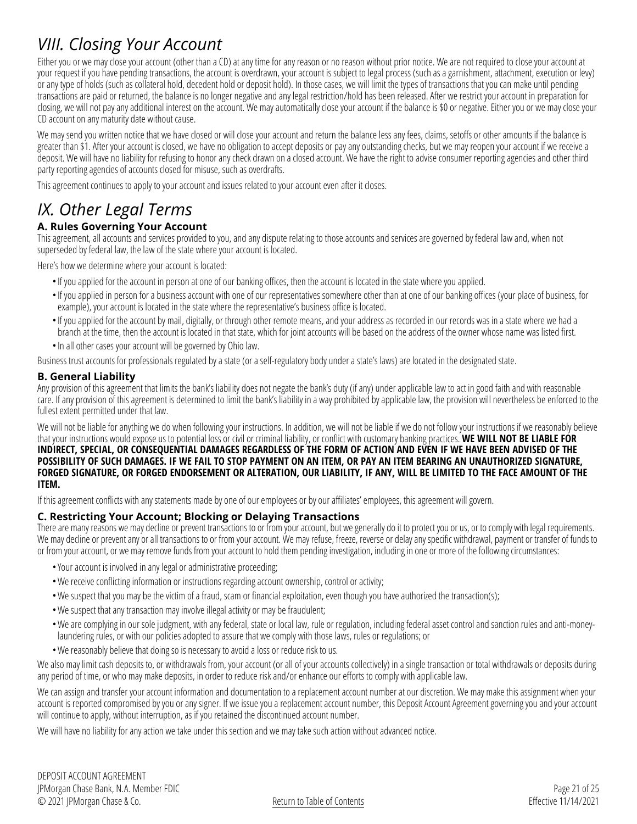### *VIII. Closing Your Account*

Either you or we may close your account (other than a CD) at any time for any reason or no reason without prior notice. We are not required to close your account at your request if you have pending transactions, the account is overdrawn, your account is subject to legal process (such as a garnishment, attachment, execution or levy) or any type of holds (such as collateral hold, decedent hold or deposit hold). In those cases, we will limit the types of transactions that you can make until pending transactions are paid or returned, the balance is no longer negative and any legal restriction/hold has been released. After we restrict your account in preparation for closing, we will not pay any additional interest on the account. We may automatically close your account if the balance is \$0 or negative. Either you or we may close your CD account on any maturity date without cause.

We may send you written notice that we have closed or will close your account and return the balance less any fees, claims, setoffs or other amounts if the balance is greater than \$1. After your account is closed, we have no obligation to accept deposits or pay any outstanding checks, but we may reopen your account if we receive a deposit. We will have no liability for refusing to honor any check drawn on a closed account. We have the right to advise consumer reporting agencies and other third party reporting agencies of accounts closed for misuse, such as overdrafts.

This agreement continues to apply to your account and issues related to your account even after it closes.

### *IX. Other Legal Terms*

#### <span id="page-20-0"></span>**A. Rules Governing Your Account**

This agreement, all accounts and services provided to you, and any dispute relating to those accounts and services are governed by federal law and, when not superseded by federal law, the law of the state where your account is located.

Here's how we determine where your account is located:

- •If you applied for the account in person at one of our banking offices, then the account is located in the state where you applied.
- •If you applied in person for a business account with one of our representatives somewhere other than at one of our banking offices (your place of business, for example), your account is located in the state where the representative's business office is located.
- •If you applied for the account by mail, digitally, or through other remote means, and your address as recorded in our records was in a state where we had a branch at the time, then the account is located in that state, which for joint accounts will be based on the address of the owner whose name was listed first. • In all other cases your account will be governed by Ohio law.
- Business trust accounts for professionals regulated by a state (or a self-regulatory body under a state's laws) are located in the designated state.

#### <span id="page-20-1"></span>**B. General Liability**

Any provision of this agreement that limits the bank's liability does not negate the bank's duty (if any) under applicable law to act in good faith and with reasonable care. If any provision of this agreement is determined to limit the bank's liability in a way prohibited by applicable law, the provision will nevertheless be enforced to the fullest extent permitted under that law.

We will not be liable for anything we do when following your instructions. In addition, we will not be liable if we do not follow your instructions if we reasonably believe that your instructions would expose us to potential loss or civil or criminal liability, or conflict with customary banking practices. **WE WILL NOT BE LIABLE FOR INDIRECT, SPECIAL, OR CONSEQUENTIAL DAMAGES REGARDLESS OF THE FORM OF ACTION AND EVEN IF WE HAVE BEEN ADVISED OF THE POSSIBILITY OF SUCH DAMAGES. IF WE FAIL TO STOP PAYMENT ON AN ITEM, OR PAY AN ITEM BEARING AN UNAUTHORIZED SIGNATURE, FORGED SIGNATURE, OR FORGED ENDORSEMENT OR ALTERATION, OUR LIABILITY, IF ANY, WILL BE LIMITED TO THE FACE AMOUNT OF THE ITEM.**

If this agreement conflicts with any statements made by one of our employees or by our affiliates' employees, this agreement will govern.

#### <span id="page-20-2"></span>**C. Restricting Your Account; Blocking or Delaying Transactions**

There are many reasons we may decline or prevent transactions to or from your account, but we generally do it to protect you or us, or to comply with legal requirements. We may decline or prevent any or all transactions to or from your account. We may refuse, freeze, reverse or delay any specific withdrawal, payment or transfer of funds to or from your account, or we may remove funds from your account to hold them pending investigation, including in one or more of the following circumstances:

- •Your account is involved in any legal or administrative proceeding;
- •We receive conflicting information or instructions regarding account ownership, control or activity;
- •We suspect that you may be the victim of a fraud, scam or financial exploitation, even though you have authorized the transaction(s);
- •We suspect that any transaction may involve illegal activity or may be fraudulent;
- •We are complying in our sole judgment, with any federal, state or local law, rule or regulation, including federal asset control and sanction rules and anti-moneylaundering rules, or with our policies adopted to assure that we comply with those laws, rules or regulations; or
- •We reasonably believe that doing so is necessary to avoid a loss or reduce risk to us.

We also may limit cash deposits to, or withdrawals from, your account (or all of your accounts collectively) in a single transaction or total withdrawals or deposits during any period of time, or who may make deposits, in order to reduce risk and/or enhance our efforts to comply with applicable law.

We can assign and transfer your account information and documentation to a replacement account number at our discretion. We may make this assignment when your account is reported compromised by you or any signer. If we issue you a replacement account number, this Deposit Account Agreement governing you and your account will continue to apply, without interruption, as if you retained the discontinued account number.

We will have no liability for any action we take under this section and we may take such action without advanced notice.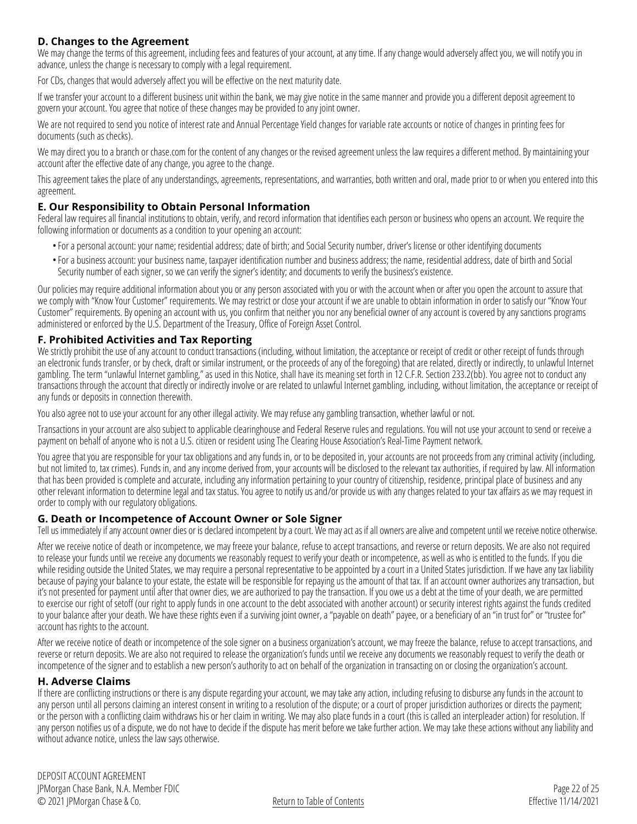#### <span id="page-21-0"></span>**D. Changes to the Agreement**

We may change the terms of this agreement, including fees and features of your account, at any time. If any change would adversely affect you, we will notify you in advance, unless the change is necessary to comply with a legal requirement.

For CDs, changes that would adversely affect you will be effective on the next maturity date.

If we transfer your account to a different business unit within the bank, we may give notice in the same manner and provide you a different deposit agreement to govern your account. You agree that notice of these changes may be provided to any joint owner.

We are not required to send you notice of interest rate and Annual Percentage Yield changes for variable rate accounts or notice of changes in printing fees for documents (such as checks).

We may direct you to a branch or [chase.com](https://www.chase.com) for the content of any changes or the revised agreement unless the law requires a different method. By maintaining your account after the effective date of any change, you agree to the change.

This agreement takes the place of any understandings, agreements, representations, and warranties, both written and oral, made prior to or when you entered into this agreement.

#### **E. Our Responsibility to Obtain Personal Information**

Federal law requires all financial institutions to obtain, verify, and record information that identifies each person or business who opens an account. We require the following information or documents as a condition to your opening an account:

- •For a personal account: your name; residential address; date of birth; and Social Security number, driver's license or other identifying documents
- •For a business account: your business name, taxpayer identification number and business address; the name, residential address, date of birth and Social Security number of each signer, so we can verify the signer's identity; and documents to verify the business's existence.

Our policies may require additional information about you or any person associated with you or with the account when or after you open the account to assure that we comply with "Know Your Customer" requirements. We may restrict or close your account if we are unable to obtain information in order to satisfy our "Know Your Customer" requirements. By opening an account with us, you confirm that neither you nor any beneficial owner of any account is covered by any sanctions programs administered or enforced by the U.S. Department of the Treasury, Office of Foreign Asset Control.

#### **F. Prohibited Activities and Tax Reporting**

We strictly prohibit the use of any account to conduct transactions (including, without limitation, the acceptance or receipt of credit or other receipt of funds through an electronic funds transfer, or by check, draft or similar instrument, or the proceeds of any of the foregoing) that are related, directly or indirectly, to unlawful Internet gambling. The term "unlawful Internet gambling," as used in this Notice, shall have its meaning set forth in 12 C.F.R. Section 233.2(bb). You agree not to conduct any transactions through the account that directly or indirectly involve or are related to unlawful Internet gambling, including, without limitation, the acceptance or receipt of any funds or deposits in connection therewith.

You also agree not to use your account for any other illegal activity. We may refuse any gambling transaction, whether lawful or not.

Transactions in your account are also subject to applicable clearinghouse and Federal Reserve rules and regulations. You will not use your account to send or receive a payment on behalf of anyone who is not a U.S. citizen or resident using The Clearing House Association's Real-Time Payment network.

You agree that you are responsible for your tax obligations and any funds in, or to be deposited in, your accounts are not proceeds from any criminal activity (including, but not limited to, tax crimes). Funds in, and any income derived from, your accounts will be disclosed to the relevant tax authorities, if required by law. All information that has been provided is complete and accurate, including any information pertaining to your country of citizenship, residence, principal place of business and any other relevant information to determine legal and tax status. You agree to notify us and/or provide us with any changes related to your tax affairs as we may request in order to comply with our regulatory obligations.

#### **G. Death or Incompetence of Account Owner or Sole Signer**

Tell us immediately if any account owner dies or is declared incompetent by a court. We may act as if all owners are alive and competent until we receive notice otherwise.

After we receive notice of death or incompetence, we may freeze your balance, refuse to accept transactions, and reverse or return deposits. We are also not required to release your funds until we receive any documents we reasonably request to verify your death or incompetence, as well as who is entitled to the funds. If you die while residing outside the United States, we may require a personal representative to be appointed by a court in a United States jurisdiction. If we have any tax liability because of paying your balance to your estate, the estate will be responsible for repaying us the amount of that tax. If an account owner authorizes any transaction, but it's not presented for payment until after that owner dies, we are authorized to pay the transaction. If you owe us a debt at the time of your death, we are permitted to exercise our right of setoff (our right to apply funds in one account to the debt associated with another account) or security interest rights against the funds credited to your balance after your death. We have these rights even if a surviving joint owner, a "payable on death" payee, or a beneficiary of an "in trust for" or "trustee for" account has rights to the account.

After we receive notice of death or incompetence of the sole signer on a business organization's account, we may freeze the balance, refuse to accept transactions, and reverse or return deposits. We are also not required to release the organization's funds until we receive any documents we reasonably request to verify the death or incompetence of the signer and to establish a new person's authority to act on behalf of the organization in transacting on or closing the organization's account.

#### **H. Adverse Claims**

If there are conflicting instructions or there is any dispute regarding your account, we may take any action, including refusing to disburse any funds in the account to any person until all persons claiming an interest consent in writing to a resolution of the dispute; or a court of proper jurisdiction authorizes or directs the payment; or the person with a conflicting claim withdraws his or her claim in writing. We may also place funds in a court (this is called an interpleader action) for resolution. If any person notifies us of a dispute, we do not have to decide if the dispute has merit before we take further action. We may take these actions without any liability and without advance notice, unless the law says otherwise.

DEPOSIT ACCOUNT AGREEMENT JPMorgan Chase Bank, N.A. Member FDIC © 2021 JPMorgan Chase & Co.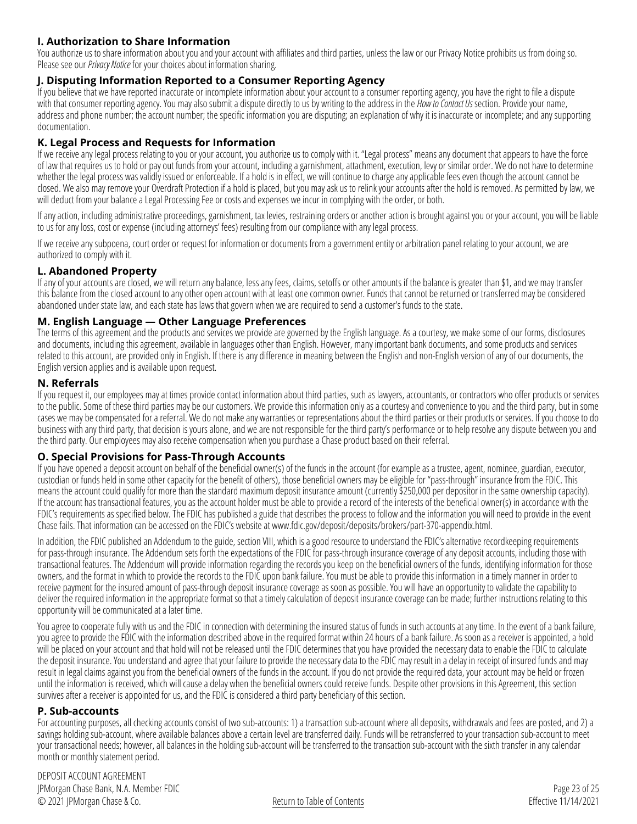#### **I. Authorization to Share Information**

You authorize us to share information about you and your account with affiliates and third parties, unless the law or our Privacy Notice prohibits us from doing so. Please see our *Privacy Notice* for your choices about information sharing.

#### **J. Disputing Information Reported to a Consumer Reporting Agency**

If you believe that we have reported inaccurate or incomplete information about your account to a consumer reporting agency, you have the right to file a dispute with that consumer reporting agency. You may also submit a dispute directly to us by writing to the address in the *[How to Contact Us](#page-0-0)* section. Provide your name, address and phone number; the account number; the specific information you are disputing; an explanation of why it is inaccurate or incomplete; and any supporting documentation.

#### **K. Legal Process and Requests for Information**

If we receive any legal process relating to you or your account, you authorize us to comply with it. "Legal process" means any document that appears to have the force of law that requires us to hold or pay out funds from your account, including a garnishment, attachment, execution, levy or similar order. We do not have to determine whether the legal process was validly issued or enforceable. If a hold is in effect, we will continue to charge any applicable fees even though the account cannot be closed. We also may remove your Overdraft Protection if a hold is placed, but you may ask us to relink your accounts after the hold is removed. As permitted by law, we will deduct from your balance a Legal Processing Fee or costs and expenses we incur in complying with the order, or both.

If any action, including administrative proceedings, garnishment, tax levies, restraining orders or another action is brought against you or your account, you will be liable to us for any loss, cost or expense (including attorneys' fees) resulting from our compliance with any legal process.

If we receive any subpoena, court order or request for information or documents from a government entity or arbitration panel relating to your account, we are authorized to comply with it.

#### **L. Abandoned Property**

If any of your accounts are closed, we will return any balance, less any fees, claims, setoffs or other amounts if the balance is greater than \$1, and we may transfer this balance from the closed account to any other open account with at least one common owner. Funds that cannot be returned or transferred may be considered abandoned under state law, and each state has laws that govern when we are required to send a customer's funds to the state.

#### **M. English Language — Other Language Preferences**

The terms of this agreement and the products and services we provide are governed by the English language. As a courtesy, we make some of our forms, disclosures and documents, including this agreement, available in languages other than English. However, many important bank documents, and some products and services related to this account, are provided only in English. If there is any difference in meaning between the English and non-English version of any of our documents, the English version applies and is available upon request.

#### **N. Referrals**

If you request it, our employees may at times provide contact information about third parties, such as lawyers, accountants, or contractors who offer products or services to the public. Some of these third parties may be our customers. We provide this information only as a courtesy and convenience to you and the third party, but in some cases we may be compensated for a referral. We do not make any warranties or representations about the third parties or their products or services. If you choose to do business with any third party, that decision is yours alone, and we are not responsible for the third party's performance or to help resolve any dispute between you and the third party. Our employees may also receive compensation when you purchase a Chase product based on their referral.

#### **O. Special Provisions for Pass-Through Accounts**

If you have opened a deposit account on behalf of the beneficial owner(s) of the funds in the account (for example as a trustee, agent, nominee, guardian, executor, custodian or funds held in some other capacity for the benefit of others), those beneficial owners may be eligible for "pass-through" insurance from the FDIC. This means the account could qualify for more than the standard maximum deposit insurance amount (currently \$250,000 per depositor in the same ownership capacity). If the account has transactional features, you as the account holder must be able to provide a record of the interests of the beneficial owner(s) in accordance with the FDIC's requirements as specified below. The FDIC has published a guide that describes the process to follow and the information you will need to provide in the event Chase fails. That information can be accessed on the FDIC's website at [www.fdic.gov/deposit/deposits/brokers/part-370-appendix.html](https://www.fdic.gov/deposit/deposits/brokers/part-370-appendix.html).

In addition, the FDIC published an Addendum to the guide, section VIII, which is a good resource to understand the FDIC's alternative recordkeeping requirements for pass-through insurance. The Addendum sets forth the expectations of the FDIC for pass-through insurance coverage of any deposit accounts, including those with transactional features. The Addendum will provide information regarding the records you keep on the beneficial owners of the funds, identifying information for those owners, and the format in which to provide the records to the FDIC upon bank failure. You must be able to provide this information in a timely manner in order to receive payment for the insured amount of pass-through deposit insurance coverage as soon as possible. You will have an opportunity to validate the capability to deliver the required information in the appropriate format so that a timely calculation of deposit insurance coverage can be made; further instructions relating to this opportunity will be communicated at a later time.

You agree to cooperate fully with us and the FDIC in connection with determining the insured status of funds in such accounts at any time. In the event of a bank failure, you agree to provide the FDIC with the information described above in the required format within 24 hours of a bank failure. As soon as a receiver is appointed, a hold will be placed on your account and that hold will not be released until the FDIC determines that you have provided the necessary data to enable the FDIC to calculate the deposit insurance. You understand and agree that your failure to provide the necessary data to the FDIC may result in a delay in receipt of insured funds and may result in legal claims against you from the beneficial owners of the funds in the account. If you do not provide the required data, your account may be held or frozen until the information is received, which will cause a delay when the beneficial owners could receive funds. Despite other provisions in this Agreement, this section survives after a receiver is appointed for us, and the FDIC is considered a third party beneficiary of this section.

#### **P. Sub-accounts**

For accounting purposes, all checking accounts consist of two sub-accounts: 1) a transaction sub-account where all deposits, withdrawals and fees are posted, and 2) a savings holding sub-account, where available balances above a certain level are transferred daily. Funds will be retransferred to your transaction sub-account to meet your transactional needs; however, all balances in the holding sub-account will be transferred to the transaction sub-account with the sixth transfer in any calendar month or monthly statement period.

DEPOSIT ACCOUNT AGREEMENT JPMorgan Chase Bank, N.A. Member FDIC © 2021 JPMorgan Chase & Co.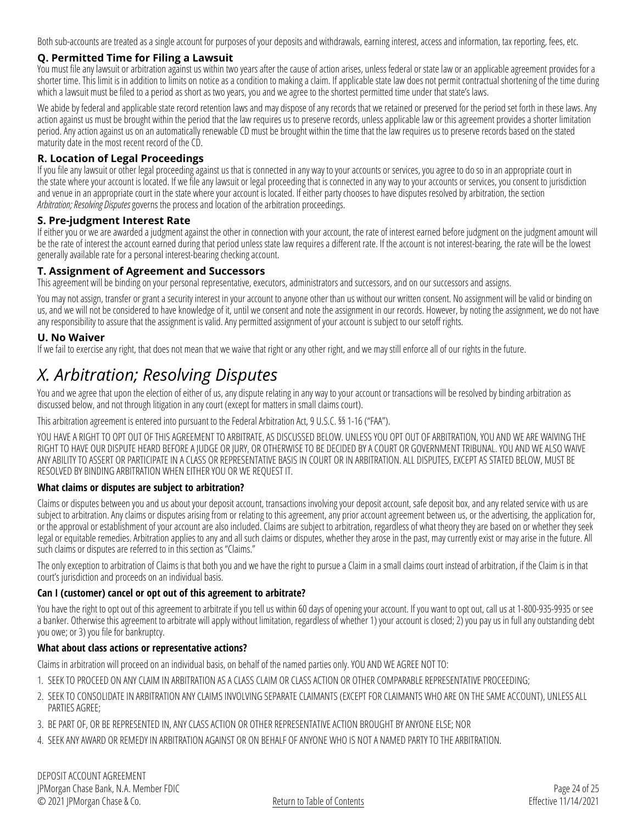Both sub-accounts are treated as a single account for purposes of your deposits and withdrawals, earning interest, access and information, tax reporting, fees, etc.

#### **Q. Permitted Time for Filing a Lawsuit**

You must file any lawsuit or arbitration against us within two years after the cause of action arises, unless federal or state law or an applicable agreement provides for a shorter time. This limit is in addition to limits on notice as a condition to making a claim. If applicable state law does not permit contractual shortening of the time during which a lawsuit must be filed to a period as short as two years, you and we agree to the shortest permitted time under that state's laws.

We abide by federal and applicable state record retention laws and may dispose of any records that we retained or preserved for the period set forth in these laws. Any action against us must be brought within the period that the law requires us to preserve records, unless applicable law or this agreement provides a shorter limitation period. Any action against us on an automatically renewable CD must be brought within the time that the law requires us to preserve records based on the stated maturity date in the most recent record of the CD.

#### **R. Location of Legal Proceedings**

If you file any lawsuit or other legal proceeding against us that is connected in any way to your accounts or services, you agree to do so in an appropriate court in the state where your account is located. If we file any lawsuit or legal proceeding that is connected in any way to your accounts or services, you consent to jurisdiction and venue in an appropriate court in the state where your account is located. If either party chooses to have disputes resolved by arbitration, the section *Arbitration; Resolving Disputes*governs the process and location of the arbitration proceedings.

#### **S. Pre-judgment Interest Rate**

If either you or we are awarded a judgment against the other in connection with your account, the rate of interest earned before judgment on the judgment amount will be the rate of interest the account earned during that period unless state law requires a different rate. If the account is not interest-bearing, the rate will be the lowest generally available rate for a personal interest-bearing checking account.

#### **T. Assignment of Agreement and Successors**

This agreement will be binding on your personal representative, executors, administrators and successors, and on our successors and assigns.

You may not assign, transfer or grant a security interest in your account to anyone other than us without our written consent. No assignment will be valid or binding on us, and we will not be considered to have knowledge of it, until we consent and note the assignment in our records. However, by noting the assignment, we do not have any responsibility to assure that the assignment is valid. Any permitted assignment of your account is subject to our setoff rights.

#### **U. No Waiver**

If we fail to exercise any right, that does not mean that we waive that right or any other right, and we may still enforce all of our rights in the future.

### *X. Arbitration; Resolving Disputes*

You and we agree that upon the election of either of us, any dispute relating in any way to your account or transactions will be resolved by binding arbitration as discussed below, and not through litigation in any court (except for matters in small claims court).

This arbitration agreement is entered into pursuant to the Federal Arbitration Act, 9 U.S.C. §§ 1-16 ("FAA").

YOU HAVE A RIGHT TO OPT OUT OF THIS AGREEMENT TO ARBITRATE, AS DISCUSSED BELOW. UNLESS YOU OPT OUT OF ARBITRATION, YOU AND WE ARE WAIVING THE RIGHT TO HAVE OUR DISPUTE HEARD BEFORE A JUDGE OR JURY, OR OTHERWISE TO BE DECIDED BY A COURT OR GOVERNMENT TRIBUNAL. YOU AND WE ALSO WAIVE ANY ABILITY TO ASSERT OR PARTICIPATE IN A CLASS OR REPRESENTATIVE BASIS IN COURT OR IN ARBITRATION. ALL DISPUTES, EXCEPT AS STATED BELOW, MUST BE RESOLVED BY BINDING ARBITRATION WHEN EITHER YOU OR WE REQUEST IT.

#### **What claims or disputes are subject to arbitration?**

Claims or disputes between you and us about your deposit account, transactions involving your deposit account, safe deposit box, and any related service with us are subject to arbitration. Any claims or disputes arising from or relating to this agreement, any prior account agreement between us, or the advertising, the application for, or the approval or establishment of your account are also included. Claims are subject to arbitration, regardless of what theory they are based on or whether they seek legal or equitable remedies. Arbitration applies to any and all such claims or disputes, whether they arose in the past, may currently exist or may arise in the future. All such claims or disputes are referred to in this section as "Claims."

The only exception to arbitration of Claims is that both you and we have the right to pursue a Claim in a small claims court instead of arbitration, if the Claim is in that court's jurisdiction and proceeds on an individual basis.

#### **Can I (customer) cancel or opt out of this agreement to arbitrate?**

You have the right to opt out of this agreement to arbitrate if you tell us within 60 days of opening your account. If you want to opt out, call us at 1-800-935-9935 or see a banker. Otherwise this agreement to arbitrate will apply without limitation, regardless of whether 1) your account is closed; 2) you pay us in full any outstanding debt you owe; or 3) you file for bankruptcy.

#### **What about class actions or representative actions?**

Claims in arbitration will proceed on an individual basis, on behalf of the named parties only. YOU AND WE AGREE NOT TO:

- 1. SEEK TO PROCEED ON ANY CLAIM IN ARBITRATION AS A CLASS CLAIM OR CLASS ACTION OR OTHER COMPARABLE REPRESENTATIVE PROCEEDING;
- 2. SEEK TO CONSOLIDATE IN ARBITRATION ANY CLAIMS INVOLVING SEPARATE CLAIMANTS (EXCEPT FOR CLAIMANTS WHO ARE ON THE SAME ACCOUNT), UNLESS ALL PARTIES AGREE;
- 3. BE PART OF, OR BE REPRESENTED IN, ANY CLASS ACTION OR OTHER REPRESENTATIVE ACTION BROUGHT BY ANYONE ELSE; NOR
- 4. SEEK ANY AWARD OR REMEDY IN ARBITRATION AGAINST OR ON BEHALF OF ANYONE WHO IS NOT A NAMED PARTY TO THE ARBITRATION.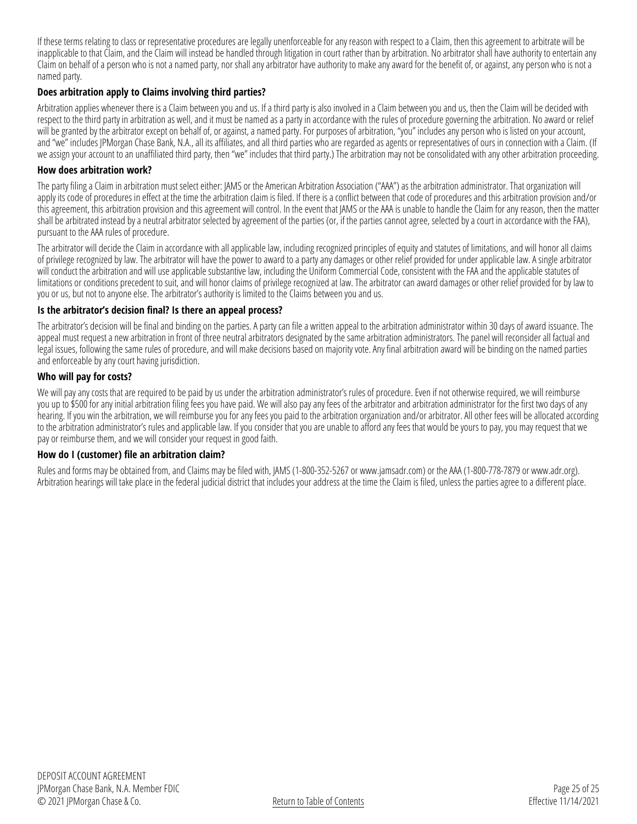If these terms relating to class or representative procedures are legally unenforceable for any reason with respect to a Claim, then this agreement to arbitrate will be inapplicable to that Claim, and the Claim will instead be handled through litigation in court rather than by arbitration. No arbitrator shall have authority to entertain any Claim on behalf of a person who is not a named party, nor shall any arbitrator have authority to make any award for the benefit of, or against, any person who is not a named party.

#### **Does arbitration apply to Claims involving third parties?**

Arbitration applies whenever there is a Claim between you and us. If a third party is also involved in a Claim between you and us, then the Claim will be decided with respect to the third party in arbitration as well, and it must be named as a party in accordance with the rules of procedure governing the arbitration. No award or relief will be granted by the arbitrator except on behalf of, or against, a named party. For purposes of arbitration, "you" includes any person who is listed on your account, and "we" includes JPMorgan Chase Bank, N.A., all its affiliates, and all third parties who are regarded as agents or representatives of ours in connection with a Claim. (If we assign your account to an unaffiliated third party, then "we" includes that third party.) The arbitration may not be consolidated with any other arbitration proceeding.

#### **How does arbitration work?**

The party filing a Claim in arbitration must select either: JAMS or the American Arbitration Association ("AAA") as the arbitration administrator. That organization will apply its code of procedures in effect at the time the arbitration claim is filed. If there is a conflict between that code of procedures and this arbitration provision and/or this agreement, this arbitration provision and this agreement will control. In the event that JAMS or the AAA is unable to handle the Claim for any reason, then the matter shall be arbitrated instead by a neutral arbitrator selected by agreement of the parties (or, if the parties cannot agree, selected by a court in accordance with the FAA), pursuant to the AAA rules of procedure.

The arbitrator will decide the Claim in accordance with all applicable law, including recognized principles of equity and statutes of limitations, and will honor all claims of privilege recognized by law. The arbitrator will have the power to award to a party any damages or other relief provided for under applicable law. A single arbitrator will conduct the arbitration and will use applicable substantive law, including the Uniform Commercial Code, consistent with the FAA and the applicable statutes of limitations or conditions precedent to suit, and will honor claims of privilege recognized at law. The arbitrator can award damages or other relief provided for by law to you or us, but not to anyone else. The arbitrator's authority is limited to the Claims between you and us.

#### **Is the arbitrator's decision final? Is there an appeal process?**

The arbitrator's decision will be final and binding on the parties. A party can file a written appeal to the arbitration administrator within 30 days of award issuance. The appeal must request a new arbitration in front of three neutral arbitrators designated by the same arbitration administrators. The panel will reconsider all factual and legal issues, following the same rules of procedure, and will make decisions based on majority vote. Any final arbitration award will be binding on the named parties and enforceable by any court having jurisdiction.

#### **Who will pay for costs?**

We will pay any costs that are required to be paid by us under the arbitration administrator's rules of procedure. Even if not otherwise required, we will reimburse you up to \$500 for any initial arbitration filing fees you have paid. We will also pay any fees of the arbitrator and arbitration administrator for the first two days of any hearing. If you win the arbitration, we will reimburse you for any fees you paid to the arbitration organization and/or arbitrator. All other fees will be allocated according to the arbitration administrator's rules and applicable law. If you consider that you are unable to afford any fees that would be yours to pay, you may request that we pay or reimburse them, and we will consider your request in good faith.

#### **How do I (customer) file an arbitration claim?**

Rules and forms may be obtained from, and Claims may be filed with, JAMS (1-800-352-5267 or [www.jamsadr.com](https://www.jamsadr.com)) or the AAA (1-800-778-7879 or [www.adr.org\)](https://www.adr.org). Arbitration hearings will take place in the federal judicial district that includes your address at the time the Claim is filed, unless the parties agree to a different place.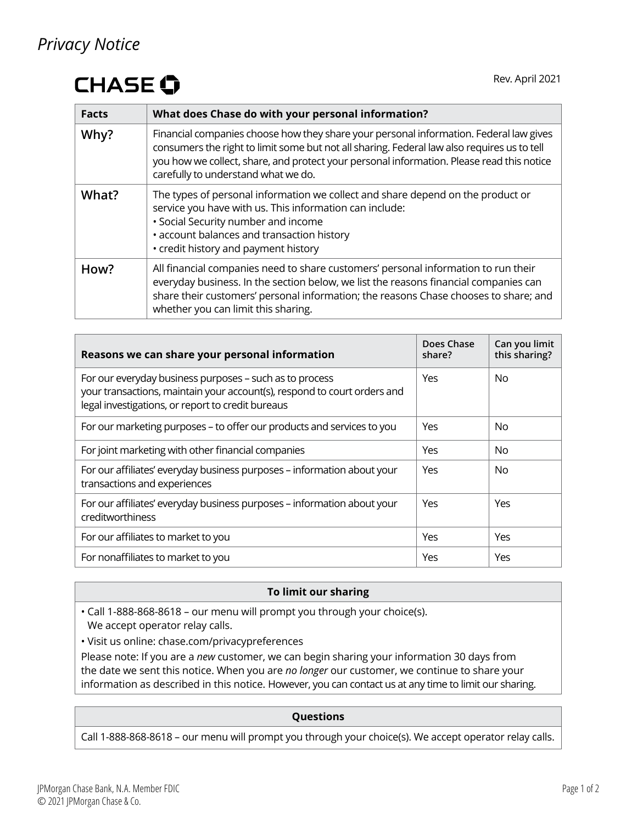### *Privacy Notice*

# **CHASE O**

| <b>Facts</b> | What does Chase do with your personal information?                                                                                                                                                                                                                                                                        |
|--------------|---------------------------------------------------------------------------------------------------------------------------------------------------------------------------------------------------------------------------------------------------------------------------------------------------------------------------|
| Why?         | Financial companies choose how they share your personal information. Federal law gives<br>consumers the right to limit some but not all sharing. Federal law also requires us to tell<br>you how we collect, share, and protect your personal information. Please read this notice<br>carefully to understand what we do. |
| What?        | The types of personal information we collect and share depend on the product or<br>service you have with us. This information can include:<br>• Social Security number and income<br>• account balances and transaction history<br>• credit history and payment history                                                   |
| How?         | All financial companies need to share customers' personal information to run their<br>everyday business. In the section below, we list the reasons financial companies can<br>share their customers' personal information; the reasons Chase chooses to share; and<br>whether you can limit this sharing.                 |

| Reasons we can share your personal information                                                                                                                                           | Does Chase<br>share? | Can you limit<br>this sharing? |
|------------------------------------------------------------------------------------------------------------------------------------------------------------------------------------------|----------------------|--------------------------------|
| For our everyday business purposes - such as to process<br>your transactions, maintain your account(s), respond to court orders and<br>legal investigations, or report to credit bureaus | Yes                  | No.                            |
| For our marketing purposes - to offer our products and services to you                                                                                                                   | Yes                  | No.                            |
| For joint marketing with other financial companies                                                                                                                                       | Yes                  | No.                            |
| For our affiliates' everyday business purposes - information about your<br>transactions and experiences                                                                                  | Yes                  | No.                            |
| For our affiliates' everyday business purposes - information about your<br>creditworthiness                                                                                              | Yes                  | Yes                            |
| For our affiliates to market to you                                                                                                                                                      | Yes                  | Yes                            |
| For nonaffiliates to market to you                                                                                                                                                       | Yes                  | Yes                            |

#### **To limit our sharing**

• Call 1-888-868-8618 – our menu will prompt you through your choice(s). We accept operator relay calls.

• Visit us online: [chase.com/privacypreferences](https://www.chase.com/privacypreferences)

Please note: If you are a *new* customer, we can begin sharing your information 30 days from the date we sent this notice. When you are *no longer* our customer, we continue to share your information as described in this notice. However, you can contact us at any time to limit our sharing.

#### **Questions**

Call 1-888-868-8618 – our menu will prompt you through your choice(s). We accept operator relay calls.